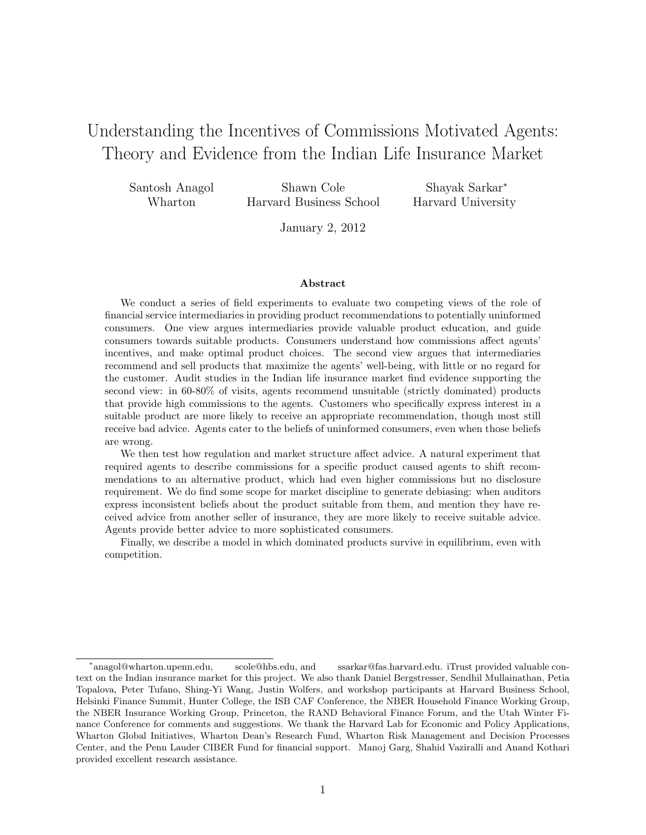# Understanding the Incentives of Commissions Motivated Agents: Theory and Evidence from the Indian Life Insurance Market

| Santosh Anagol | Shawn Cole              | Shayak Sarkar*     |
|----------------|-------------------------|--------------------|
| Wharton        | Harvard Business School | Harvard University |

January 2, 2012

#### Abstract

We conduct a series of field experiments to evaluate two competing views of the role of financial service intermediaries in providing product recommendations to potentially uninformed consumers. One view argues intermediaries provide valuable product education, and guide consumers towards suitable products. Consumers understand how commissions affect agents' incentives, and make optimal product choices. The second view argues that intermediaries recommend and sell products that maximize the agents' well-being, with little or no regard for the customer. Audit studies in the Indian life insurance market find evidence supporting the second view: in 60-80% of visits, agents recommend unsuitable (strictly dominated) products that provide high commissions to the agents. Customers who specifically express interest in a suitable product are more likely to receive an appropriate recommendation, though most still receive bad advice. Agents cater to the beliefs of uninformed consumers, even when those beliefs are wrong.

We then test how regulation and market structure affect advice. A natural experiment that required agents to describe commissions for a specific product caused agents to shift recommendations to an alternative product, which had even higher commissions but no disclosure requirement. We do find some scope for market discipline to generate debiasing: when auditors express inconsistent beliefs about the product suitable from them, and mention they have received advice from another seller of insurance, they are more likely to receive suitable advice. Agents provide better advice to more sophisticated consumers.

Finally, we describe a model in which dominated products survive in equilibrium, even with competition.

<sup>\*</sup>anagol@wharton.upenn.edu, scole@hbs.edu, and ssarkar@fas.harvard.edu. iTrust provided valuable context on the Indian insurance market for this project. We also thank Daniel Bergstresser, Sendhil Mullainathan, Petia Topalova, Peter Tufano, Shing-Yi Wang, Justin Wolfers, and workshop participants at Harvard Business School, Helsinki Finance Summit, Hunter College, the ISB CAF Conference, the NBER Household Finance Working Group, the NBER Insurance Working Group, Princeton, the RAND Behavioral Finance Forum, and the Utah Winter Finance Conference for comments and suggestions. We thank the Harvard Lab for Economic and Policy Applications, Wharton Global Initiatives, Wharton Dean's Research Fund, Wharton Risk Management and Decision Processes Center, and the Penn Lauder CIBER Fund for financial support. Manoj Garg, Shahid Vaziralli and Anand Kothari provided excellent research assistance.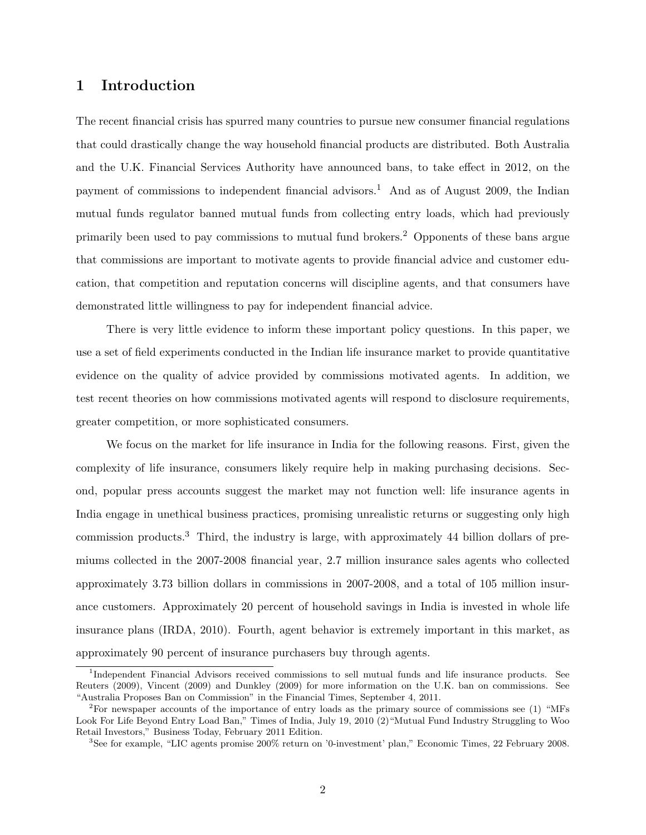## 1 Introduction

The recent financial crisis has spurred many countries to pursue new consumer financial regulations that could drastically change the way household financial products are distributed. Both Australia and the U.K. Financial Services Authority have announced bans, to take effect in 2012, on the payment of commissions to independent financial advisors.<sup>1</sup> And as of August 2009, the Indian mutual funds regulator banned mutual funds from collecting entry loads, which had previously primarily been used to pay commissions to mutual fund brokers.<sup>2</sup> Opponents of these bans argue that commissions are important to motivate agents to provide financial advice and customer education, that competition and reputation concerns will discipline agents, and that consumers have demonstrated little willingness to pay for independent financial advice.

There is very little evidence to inform these important policy questions. In this paper, we use a set of field experiments conducted in the Indian life insurance market to provide quantitative evidence on the quality of advice provided by commissions motivated agents. In addition, we test recent theories on how commissions motivated agents will respond to disclosure requirements, greater competition, or more sophisticated consumers.

We focus on the market for life insurance in India for the following reasons. First, given the complexity of life insurance, consumers likely require help in making purchasing decisions. Second, popular press accounts suggest the market may not function well: life insurance agents in India engage in unethical business practices, promising unrealistic returns or suggesting only high commission products.<sup>3</sup> Third, the industry is large, with approximately 44 billion dollars of premiums collected in the 2007-2008 financial year, 2.7 million insurance sales agents who collected approximately 3.73 billion dollars in commissions in 2007-2008, and a total of 105 million insurance customers. Approximately 20 percent of household savings in India is invested in whole life insurance plans (IRDA, 2010). Fourth, agent behavior is extremely important in this market, as approximately 90 percent of insurance purchasers buy through agents.

<sup>&</sup>lt;sup>1</sup>Independent Financial Advisors received commissions to sell mutual funds and life insurance products. See Reuters (2009), Vincent (2009) and Dunkley (2009) for more information on the U.K. ban on commissions. See "Australia Proposes Ban on Commission" in the Financial Times, September 4, 2011.

<sup>2</sup>For newspaper accounts of the importance of entry loads as the primary source of commissions see (1) "MFs Look For Life Beyond Entry Load Ban," Times of India, July 19, 2010 (2)"Mutual Fund Industry Struggling to Woo Retail Investors," Business Today, February 2011 Edition.

<sup>3</sup>See for example, "LIC agents promise 200% return on '0-investment' plan," Economic Times, 22 February 2008.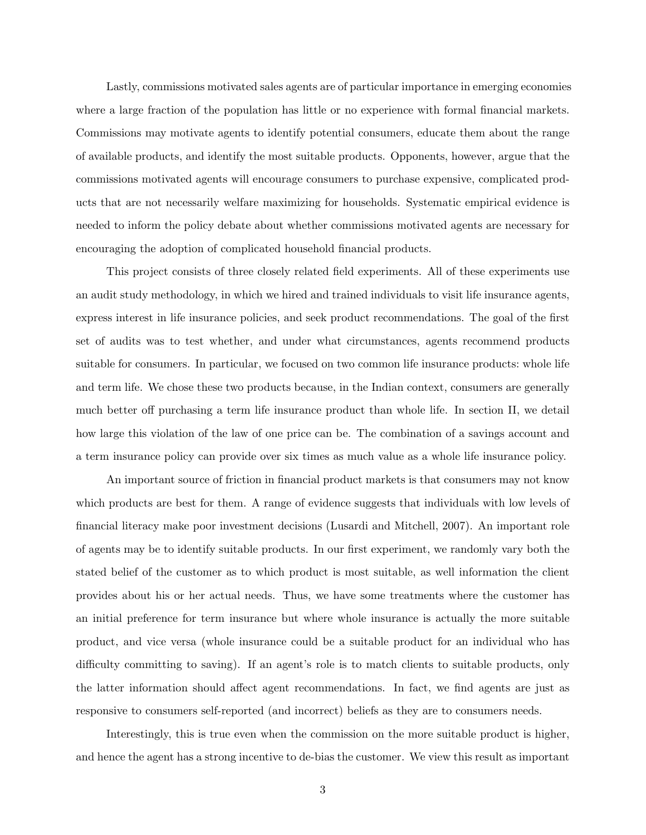Lastly, commissions motivated sales agents are of particular importance in emerging economies where a large fraction of the population has little or no experience with formal financial markets. Commissions may motivate agents to identify potential consumers, educate them about the range of available products, and identify the most suitable products. Opponents, however, argue that the commissions motivated agents will encourage consumers to purchase expensive, complicated products that are not necessarily welfare maximizing for households. Systematic empirical evidence is needed to inform the policy debate about whether commissions motivated agents are necessary for encouraging the adoption of complicated household financial products.

This project consists of three closely related field experiments. All of these experiments use an audit study methodology, in which we hired and trained individuals to visit life insurance agents, express interest in life insurance policies, and seek product recommendations. The goal of the first set of audits was to test whether, and under what circumstances, agents recommend products suitable for consumers. In particular, we focused on two common life insurance products: whole life and term life. We chose these two products because, in the Indian context, consumers are generally much better off purchasing a term life insurance product than whole life. In section II, we detail how large this violation of the law of one price can be. The combination of a savings account and a term insurance policy can provide over six times as much value as a whole life insurance policy.

An important source of friction in financial product markets is that consumers may not know which products are best for them. A range of evidence suggests that individuals with low levels of financial literacy make poor investment decisions (Lusardi and Mitchell, 2007). An important role of agents may be to identify suitable products. In our first experiment, we randomly vary both the stated belief of the customer as to which product is most suitable, as well information the client provides about his or her actual needs. Thus, we have some treatments where the customer has an initial preference for term insurance but where whole insurance is actually the more suitable product, and vice versa (whole insurance could be a suitable product for an individual who has difficulty committing to saving). If an agent's role is to match clients to suitable products, only the latter information should affect agent recommendations. In fact, we find agents are just as responsive to consumers self-reported (and incorrect) beliefs as they are to consumers needs.

Interestingly, this is true even when the commission on the more suitable product is higher, and hence the agent has a strong incentive to de-bias the customer. We view this result as important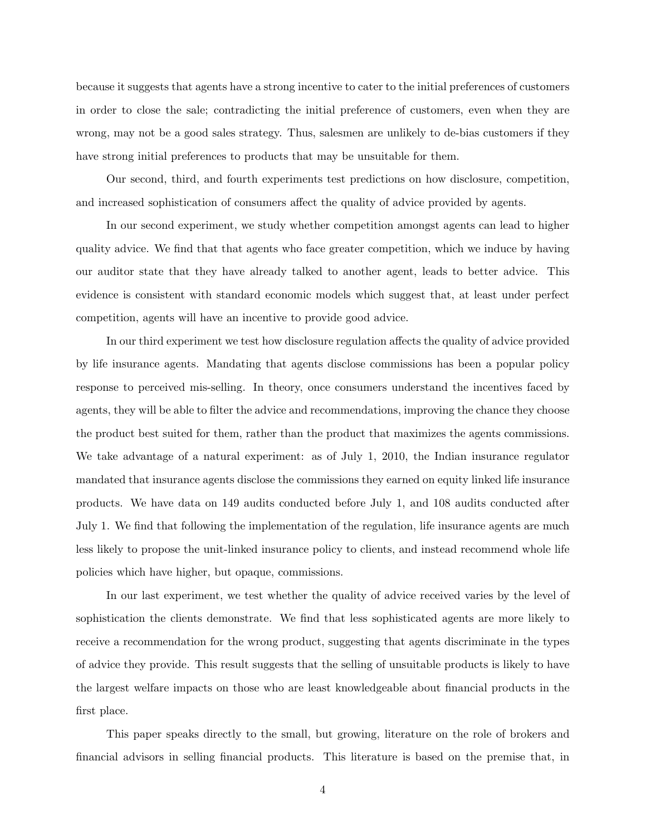because it suggests that agents have a strong incentive to cater to the initial preferences of customers in order to close the sale; contradicting the initial preference of customers, even when they are wrong, may not be a good sales strategy. Thus, salesmen are unlikely to de-bias customers if they have strong initial preferences to products that may be unsuitable for them.

Our second, third, and fourth experiments test predictions on how disclosure, competition, and increased sophistication of consumers affect the quality of advice provided by agents.

In our second experiment, we study whether competition amongst agents can lead to higher quality advice. We find that that agents who face greater competition, which we induce by having our auditor state that they have already talked to another agent, leads to better advice. This evidence is consistent with standard economic models which suggest that, at least under perfect competition, agents will have an incentive to provide good advice.

In our third experiment we test how disclosure regulation affects the quality of advice provided by life insurance agents. Mandating that agents disclose commissions has been a popular policy response to perceived mis-selling. In theory, once consumers understand the incentives faced by agents, they will be able to filter the advice and recommendations, improving the chance they choose the product best suited for them, rather than the product that maximizes the agents commissions. We take advantage of a natural experiment: as of July 1, 2010, the Indian insurance regulator mandated that insurance agents disclose the commissions they earned on equity linked life insurance products. We have data on 149 audits conducted before July 1, and 108 audits conducted after July 1. We find that following the implementation of the regulation, life insurance agents are much less likely to propose the unit-linked insurance policy to clients, and instead recommend whole life policies which have higher, but opaque, commissions.

In our last experiment, we test whether the quality of advice received varies by the level of sophistication the clients demonstrate. We find that less sophisticated agents are more likely to receive a recommendation for the wrong product, suggesting that agents discriminate in the types of advice they provide. This result suggests that the selling of unsuitable products is likely to have the largest welfare impacts on those who are least knowledgeable about financial products in the first place.

This paper speaks directly to the small, but growing, literature on the role of brokers and financial advisors in selling financial products. This literature is based on the premise that, in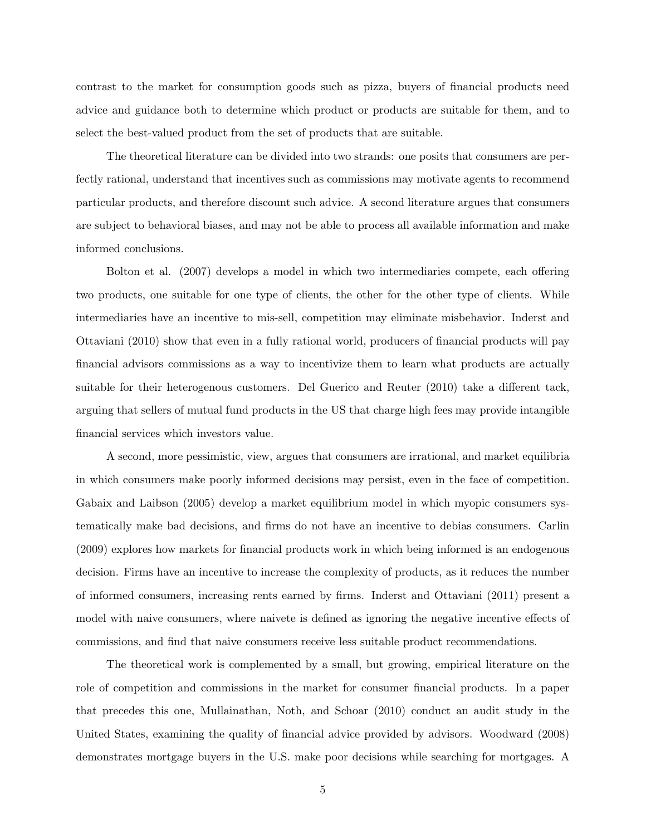contrast to the market for consumption goods such as pizza, buyers of financial products need advice and guidance both to determine which product or products are suitable for them, and to select the best-valued product from the set of products that are suitable.

The theoretical literature can be divided into two strands: one posits that consumers are perfectly rational, understand that incentives such as commissions may motivate agents to recommend particular products, and therefore discount such advice. A second literature argues that consumers are subject to behavioral biases, and may not be able to process all available information and make informed conclusions.

Bolton et al. (2007) develops a model in which two intermediaries compete, each offering two products, one suitable for one type of clients, the other for the other type of clients. While intermediaries have an incentive to mis-sell, competition may eliminate misbehavior. Inderst and Ottaviani (2010) show that even in a fully rational world, producers of financial products will pay financial advisors commissions as a way to incentivize them to learn what products are actually suitable for their heterogenous customers. Del Guerico and Reuter (2010) take a different tack, arguing that sellers of mutual fund products in the US that charge high fees may provide intangible financial services which investors value.

A second, more pessimistic, view, argues that consumers are irrational, and market equilibria in which consumers make poorly informed decisions may persist, even in the face of competition. Gabaix and Laibson (2005) develop a market equilibrium model in which myopic consumers systematically make bad decisions, and firms do not have an incentive to debias consumers. Carlin (2009) explores how markets for financial products work in which being informed is an endogenous decision. Firms have an incentive to increase the complexity of products, as it reduces the number of informed consumers, increasing rents earned by firms. Inderst and Ottaviani (2011) present a model with naive consumers, where naivete is defined as ignoring the negative incentive effects of commissions, and find that naive consumers receive less suitable product recommendations.

The theoretical work is complemented by a small, but growing, empirical literature on the role of competition and commissions in the market for consumer financial products. In a paper that precedes this one, Mullainathan, Noth, and Schoar (2010) conduct an audit study in the United States, examining the quality of financial advice provided by advisors. Woodward (2008) demonstrates mortgage buyers in the U.S. make poor decisions while searching for mortgages. A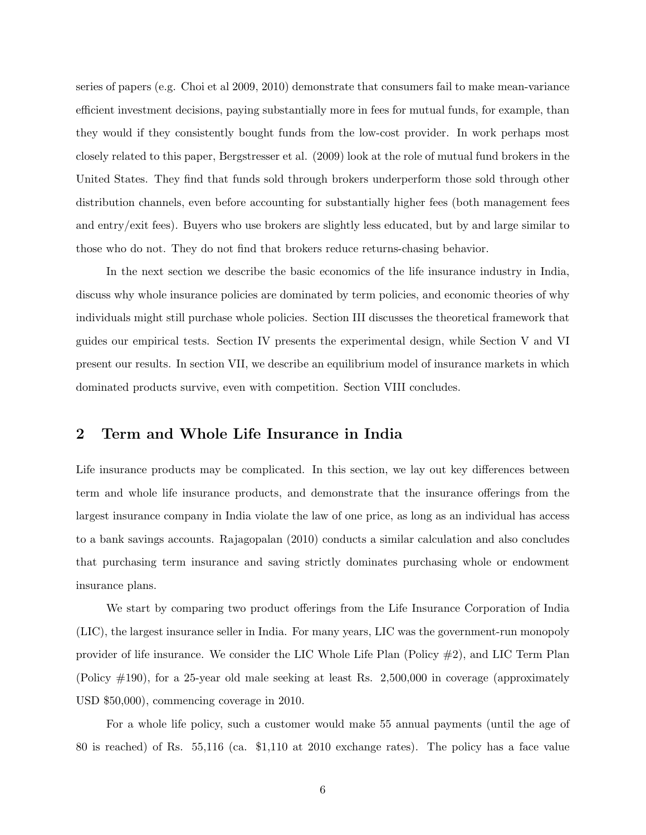series of papers (e.g. Choi et al 2009, 2010) demonstrate that consumers fail to make mean-variance efficient investment decisions, paying substantially more in fees for mutual funds, for example, than they would if they consistently bought funds from the low-cost provider. In work perhaps most closely related to this paper, Bergstresser et al. (2009) look at the role of mutual fund brokers in the United States. They find that funds sold through brokers underperform those sold through other distribution channels, even before accounting for substantially higher fees (both management fees and entry/exit fees). Buyers who use brokers are slightly less educated, but by and large similar to those who do not. They do not find that brokers reduce returns-chasing behavior.

In the next section we describe the basic economics of the life insurance industry in India, discuss why whole insurance policies are dominated by term policies, and economic theories of why individuals might still purchase whole policies. Section III discusses the theoretical framework that guides our empirical tests. Section IV presents the experimental design, while Section V and VI present our results. In section VII, we describe an equilibrium model of insurance markets in which dominated products survive, even with competition. Section VIII concludes.

## 2 Term and Whole Life Insurance in India

Life insurance products may be complicated. In this section, we lay out key differences between term and whole life insurance products, and demonstrate that the insurance offerings from the largest insurance company in India violate the law of one price, as long as an individual has access to a bank savings accounts. Rajagopalan (2010) conducts a similar calculation and also concludes that purchasing term insurance and saving strictly dominates purchasing whole or endowment insurance plans.

We start by comparing two product offerings from the Life Insurance Corporation of India (LIC), the largest insurance seller in India. For many years, LIC was the government-run monopoly provider of life insurance. We consider the LIC Whole Life Plan (Policy  $\#2$ ), and LIC Term Plan (Policy #190), for a 25-year old male seeking at least Rs. 2,500,000 in coverage (approximately USD \$50,000), commencing coverage in 2010.

For a whole life policy, such a customer would make 55 annual payments (until the age of 80 is reached) of Rs. 55,116 (ca. \$1,110 at 2010 exchange rates). The policy has a face value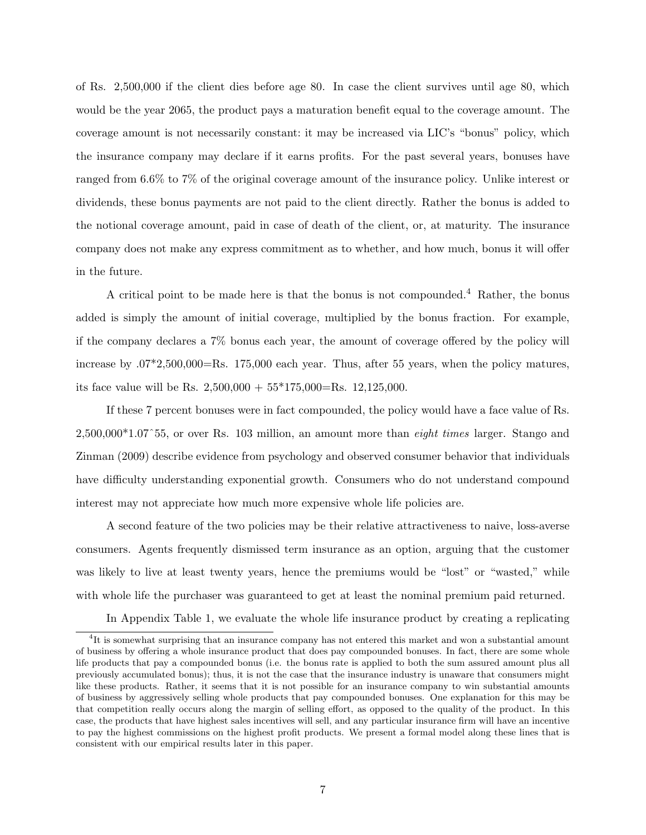of Rs. 2,500,000 if the client dies before age 80. In case the client survives until age 80, which would be the year 2065, the product pays a maturation benefit equal to the coverage amount. The coverage amount is not necessarily constant: it may be increased via LIC's "bonus" policy, which the insurance company may declare if it earns profits. For the past several years, bonuses have ranged from 6.6% to 7% of the original coverage amount of the insurance policy. Unlike interest or dividends, these bonus payments are not paid to the client directly. Rather the bonus is added to the notional coverage amount, paid in case of death of the client, or, at maturity. The insurance company does not make any express commitment as to whether, and how much, bonus it will offer in the future.

A critical point to be made here is that the bonus is not compounded.<sup>4</sup> Rather, the bonus added is simply the amount of initial coverage, multiplied by the bonus fraction. For example, if the company declares a 7% bonus each year, the amount of coverage offered by the policy will increase by  $.07*2,500,000=$ Rs. 175,000 each year. Thus, after 55 years, when the policy matures, its face value will be Rs.  $2,500,000 + 55*175,000 =$ Rs.  $12,125,000$ .

If these 7 percent bonuses were in fact compounded, the policy would have a face value of Rs. 2,500,000\*1.07ˆ55, or over Rs. 103 million, an amount more than eight times larger. Stango and Zinman (2009) describe evidence from psychology and observed consumer behavior that individuals have difficulty understanding exponential growth. Consumers who do not understand compound interest may not appreciate how much more expensive whole life policies are.

A second feature of the two policies may be their relative attractiveness to naive, loss-averse consumers. Agents frequently dismissed term insurance as an option, arguing that the customer was likely to live at least twenty years, hence the premiums would be "lost" or "wasted," while with whole life the purchaser was guaranteed to get at least the nominal premium paid returned.

In Appendix Table 1, we evaluate the whole life insurance product by creating a replicating

<sup>&</sup>lt;sup>4</sup>It is somewhat surprising that an insurance company has not entered this market and won a substantial amount of business by offering a whole insurance product that does pay compounded bonuses. In fact, there are some whole life products that pay a compounded bonus (i.e. the bonus rate is applied to both the sum assured amount plus all previously accumulated bonus); thus, it is not the case that the insurance industry is unaware that consumers might like these products. Rather, it seems that it is not possible for an insurance company to win substantial amounts of business by aggressively selling whole products that pay compounded bonuses. One explanation for this may be that competition really occurs along the margin of selling effort, as opposed to the quality of the product. In this case, the products that have highest sales incentives will sell, and any particular insurance firm will have an incentive to pay the highest commissions on the highest profit products. We present a formal model along these lines that is consistent with our empirical results later in this paper.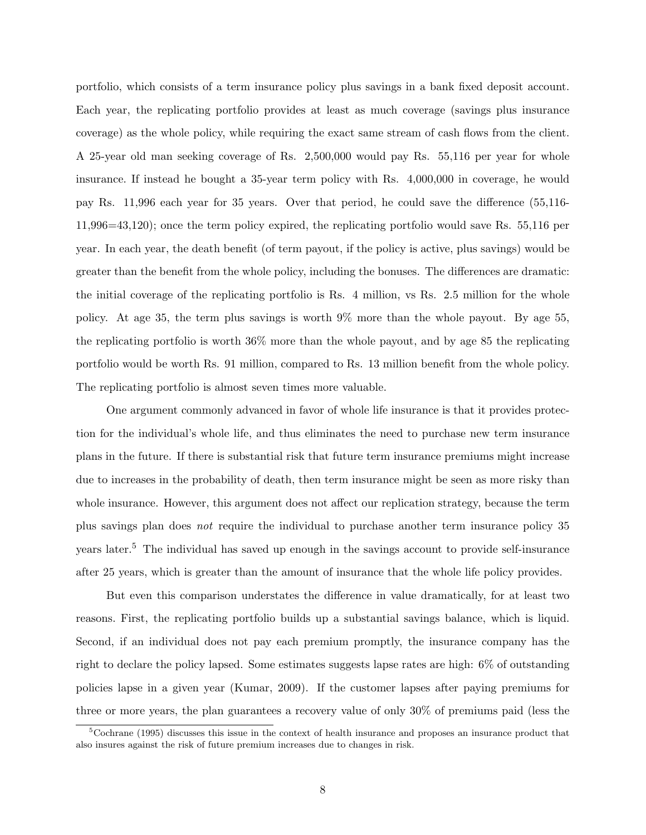portfolio, which consists of a term insurance policy plus savings in a bank fixed deposit account. Each year, the replicating portfolio provides at least as much coverage (savings plus insurance coverage) as the whole policy, while requiring the exact same stream of cash flows from the client. A 25-year old man seeking coverage of Rs. 2,500,000 would pay Rs. 55,116 per year for whole insurance. If instead he bought a 35-year term policy with Rs. 4,000,000 in coverage, he would pay Rs. 11,996 each year for 35 years. Over that period, he could save the difference (55,116- 11,996=43,120); once the term policy expired, the replicating portfolio would save Rs. 55,116 per year. In each year, the death benefit (of term payout, if the policy is active, plus savings) would be greater than the benefit from the whole policy, including the bonuses. The differences are dramatic: the initial coverage of the replicating portfolio is Rs. 4 million, vs Rs. 2.5 million for the whole policy. At age 35, the term plus savings is worth 9% more than the whole payout. By age 55, the replicating portfolio is worth 36% more than the whole payout, and by age 85 the replicating portfolio would be worth Rs. 91 million, compared to Rs. 13 million benefit from the whole policy. The replicating portfolio is almost seven times more valuable.

One argument commonly advanced in favor of whole life insurance is that it provides protection for the individual's whole life, and thus eliminates the need to purchase new term insurance plans in the future. If there is substantial risk that future term insurance premiums might increase due to increases in the probability of death, then term insurance might be seen as more risky than whole insurance. However, this argument does not affect our replication strategy, because the term plus savings plan does not require the individual to purchase another term insurance policy 35 years later.<sup>5</sup> The individual has saved up enough in the savings account to provide self-insurance after 25 years, which is greater than the amount of insurance that the whole life policy provides.

But even this comparison understates the difference in value dramatically, for at least two reasons. First, the replicating portfolio builds up a substantial savings balance, which is liquid. Second, if an individual does not pay each premium promptly, the insurance company has the right to declare the policy lapsed. Some estimates suggests lapse rates are high: 6% of outstanding policies lapse in a given year (Kumar, 2009). If the customer lapses after paying premiums for three or more years, the plan guarantees a recovery value of only 30% of premiums paid (less the

 $5C$ ochrane (1995) discusses this issue in the context of health insurance and proposes an insurance product that also insures against the risk of future premium increases due to changes in risk.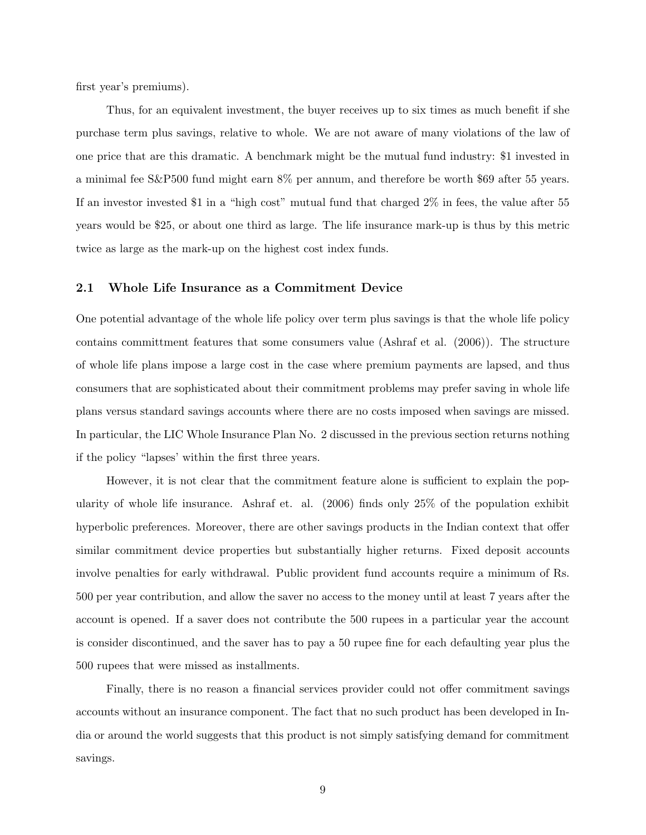first year's premiums).

Thus, for an equivalent investment, the buyer receives up to six times as much benefit if she purchase term plus savings, relative to whole. We are not aware of many violations of the law of one price that are this dramatic. A benchmark might be the mutual fund industry: \$1 invested in a minimal fee S&P500 fund might earn 8% per annum, and therefore be worth \$69 after 55 years. If an investor invested \$1 in a "high cost" mutual fund that charged 2% in fees, the value after 55 years would be \$25, or about one third as large. The life insurance mark-up is thus by this metric twice as large as the mark-up on the highest cost index funds.

#### 2.1 Whole Life Insurance as a Commitment Device

One potential advantage of the whole life policy over term plus savings is that the whole life policy contains committment features that some consumers value (Ashraf et al. (2006)). The structure of whole life plans impose a large cost in the case where premium payments are lapsed, and thus consumers that are sophisticated about their commitment problems may prefer saving in whole life plans versus standard savings accounts where there are no costs imposed when savings are missed. In particular, the LIC Whole Insurance Plan No. 2 discussed in the previous section returns nothing if the policy "lapses' within the first three years.

However, it is not clear that the commitment feature alone is sufficient to explain the popularity of whole life insurance. Ashraf et. al. (2006) finds only 25% of the population exhibit hyperbolic preferences. Moreover, there are other savings products in the Indian context that offer similar commitment device properties but substantially higher returns. Fixed deposit accounts involve penalties for early withdrawal. Public provident fund accounts require a minimum of Rs. 500 per year contribution, and allow the saver no access to the money until at least 7 years after the account is opened. If a saver does not contribute the 500 rupees in a particular year the account is consider discontinued, and the saver has to pay a 50 rupee fine for each defaulting year plus the 500 rupees that were missed as installments.

Finally, there is no reason a financial services provider could not offer commitment savings accounts without an insurance component. The fact that no such product has been developed in India or around the world suggests that this product is not simply satisfying demand for commitment savings.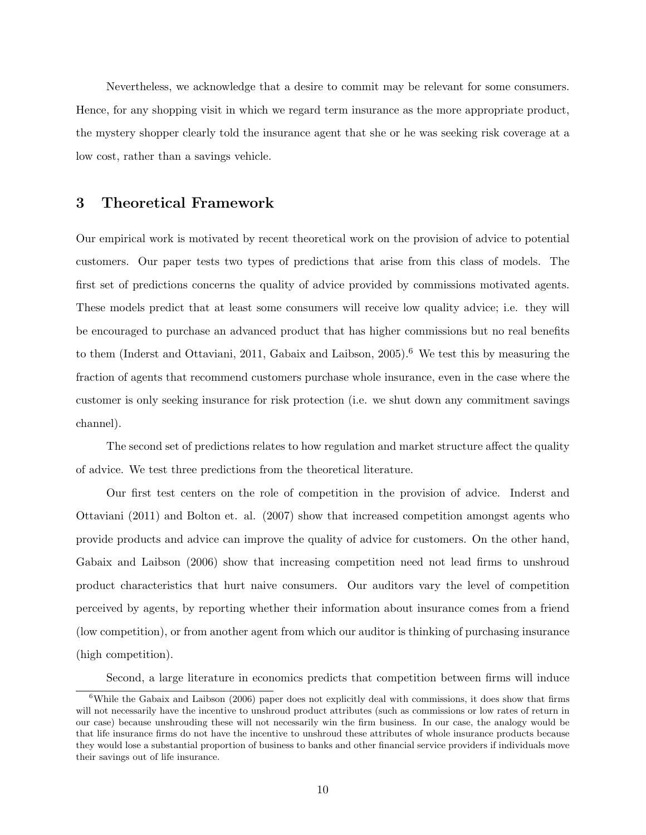Nevertheless, we acknowledge that a desire to commit may be relevant for some consumers. Hence, for any shopping visit in which we regard term insurance as the more appropriate product, the mystery shopper clearly told the insurance agent that she or he was seeking risk coverage at a low cost, rather than a savings vehicle.

## 3 Theoretical Framework

Our empirical work is motivated by recent theoretical work on the provision of advice to potential customers. Our paper tests two types of predictions that arise from this class of models. The first set of predictions concerns the quality of advice provided by commissions motivated agents. These models predict that at least some consumers will receive low quality advice; i.e. they will be encouraged to purchase an advanced product that has higher commissions but no real benefits to them (Inderst and Ottaviani, 2011, Gabaix and Laibson, 2005).<sup>6</sup> We test this by measuring the fraction of agents that recommend customers purchase whole insurance, even in the case where the customer is only seeking insurance for risk protection (i.e. we shut down any commitment savings channel).

The second set of predictions relates to how regulation and market structure affect the quality of advice. We test three predictions from the theoretical literature.

Our first test centers on the role of competition in the provision of advice. Inderst and Ottaviani (2011) and Bolton et. al. (2007) show that increased competition amongst agents who provide products and advice can improve the quality of advice for customers. On the other hand, Gabaix and Laibson (2006) show that increasing competition need not lead firms to unshroud product characteristics that hurt naive consumers. Our auditors vary the level of competition perceived by agents, by reporting whether their information about insurance comes from a friend (low competition), or from another agent from which our auditor is thinking of purchasing insurance (high competition).

Second, a large literature in economics predicts that competition between firms will induce

<sup>&</sup>lt;sup>6</sup>While the Gabaix and Laibson (2006) paper does not explicitly deal with commissions, it does show that firms will not necessarily have the incentive to unshroud product attributes (such as commissions or low rates of return in our case) because unshrouding these will not necessarily win the firm business. In our case, the analogy would be that life insurance firms do not have the incentive to unshroud these attributes of whole insurance products because they would lose a substantial proportion of business to banks and other financial service providers if individuals move their savings out of life insurance.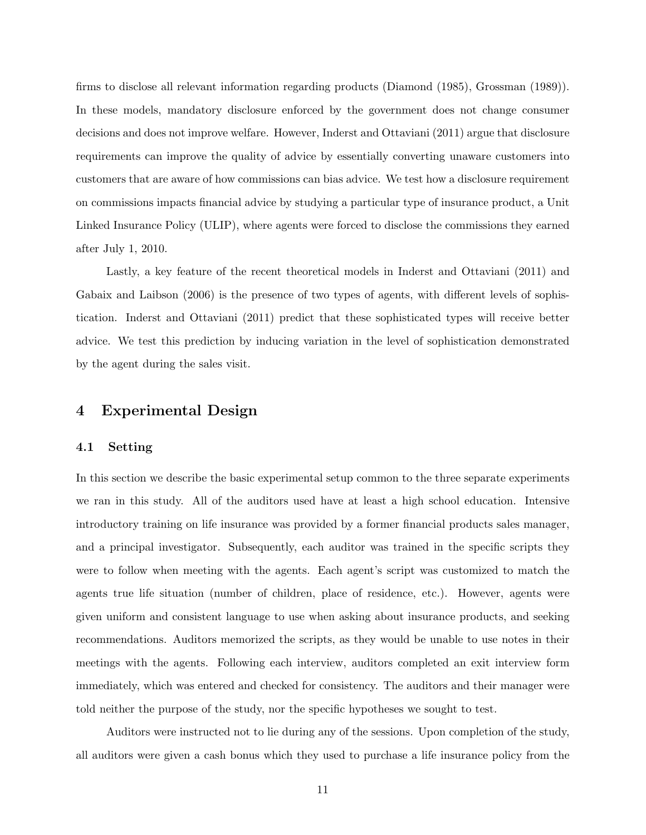firms to disclose all relevant information regarding products (Diamond (1985), Grossman (1989)). In these models, mandatory disclosure enforced by the government does not change consumer decisions and does not improve welfare. However, Inderst and Ottaviani (2011) argue that disclosure requirements can improve the quality of advice by essentially converting unaware customers into customers that are aware of how commissions can bias advice. We test how a disclosure requirement on commissions impacts financial advice by studying a particular type of insurance product, a Unit Linked Insurance Policy (ULIP), where agents were forced to disclose the commissions they earned after July 1, 2010.

Lastly, a key feature of the recent theoretical models in Inderst and Ottaviani (2011) and Gabaix and Laibson (2006) is the presence of two types of agents, with different levels of sophistication. Inderst and Ottaviani (2011) predict that these sophisticated types will receive better advice. We test this prediction by inducing variation in the level of sophistication demonstrated by the agent during the sales visit.

## 4 Experimental Design

#### 4.1 Setting

In this section we describe the basic experimental setup common to the three separate experiments we ran in this study. All of the auditors used have at least a high school education. Intensive introductory training on life insurance was provided by a former financial products sales manager, and a principal investigator. Subsequently, each auditor was trained in the specific scripts they were to follow when meeting with the agents. Each agent's script was customized to match the agents true life situation (number of children, place of residence, etc.). However, agents were given uniform and consistent language to use when asking about insurance products, and seeking recommendations. Auditors memorized the scripts, as they would be unable to use notes in their meetings with the agents. Following each interview, auditors completed an exit interview form immediately, which was entered and checked for consistency. The auditors and their manager were told neither the purpose of the study, nor the specific hypotheses we sought to test.

Auditors were instructed not to lie during any of the sessions. Upon completion of the study, all auditors were given a cash bonus which they used to purchase a life insurance policy from the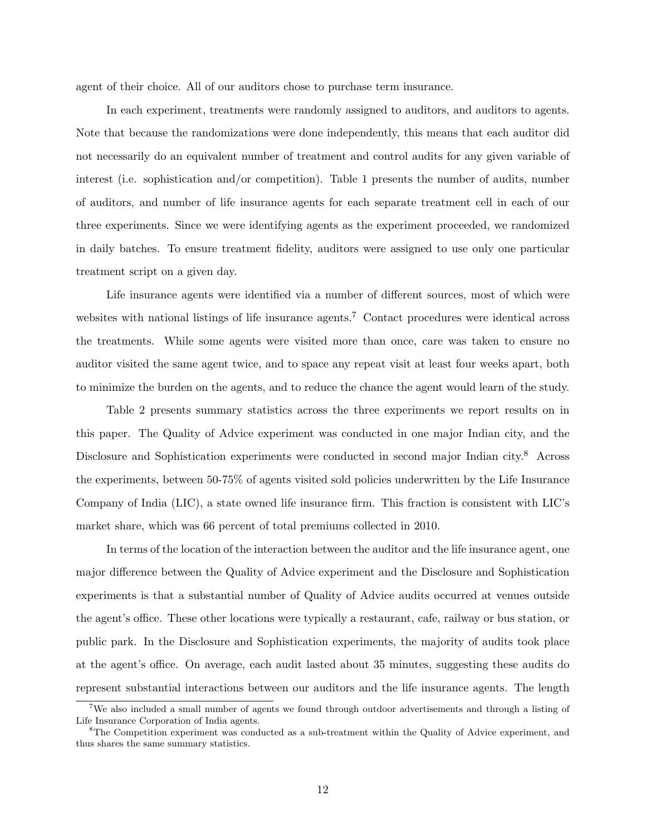agent of their choice. All of our auditors chose to purchase term insurance.

In each experiment, treatments were randomly assigned to auditors, and auditors to agents. Note that because the randomizations were done independently, this means that each auditor did not necessarily do an equivalent number of treatment and control audits for any given variable of interest (i.e. sophistication and/or competition). Table 1 presents the number of audits, number of auditors, and number of life insurance agents for each separate treatment cell in each of our three experiments. Since we were identifying agents as the experiment proceeded, we randomized in daily batches. To ensure treatment fidelity, auditors were assigned to use only one particular treatment script on a given day.

Life insurance agents were identified via a number of different sources, most of which were websites with national listings of life insurance agents.<sup>7</sup> Contact procedures were identical across the treatments. While some agents were visited more than once, care was taken to ensure no auditor visited the same agent twice, and to space any repeat visit at least four weeks apart, both to minimize the burden on the agents, and to reduce the chance the agent would learn of the study.

Table 2 presents summary statistics across the three experiments we report results on in this paper. The Quality of Advice experiment was conducted in one major Indian city, and the Disclosure and Sophistication experiments were conducted in second major Indian city.<sup>8</sup> Across the experiments, between 50-75% of agents visited sold policies underwritten by the Life Insurance Company of India (LIC), a state owned life insurance firm. This fraction is consistent with LIC's market share, which was 66 percent of total premiums collected in 2010.

In terms of the location of the interaction between the auditor and the life insurance agent, one major difference between the Quality of Advice experiment and the Disclosure and Sophistication experiments is that a substantial number of Quality of Advice audits occurred at venues outside the agent's office. These other locations were typically a restaurant, cafe, railway or bus station, or public park. In the Disclosure and Sophistication experiments, the majority of audits took place at the agent's office. On average, each audit lasted about 35 minutes, suggesting these audits do represent substantial interactions between our auditors and the life insurance agents. The length

<sup>&</sup>lt;sup>7</sup>We also included a small number of agents we found through outdoor advertisements and through a listing of Life Insurance Corporation of India agents.

<sup>&</sup>lt;sup>8</sup>The Competition experiment was conducted as a sub-treatment within the Quality of Advice experiment, and thus shares the same summary statistics.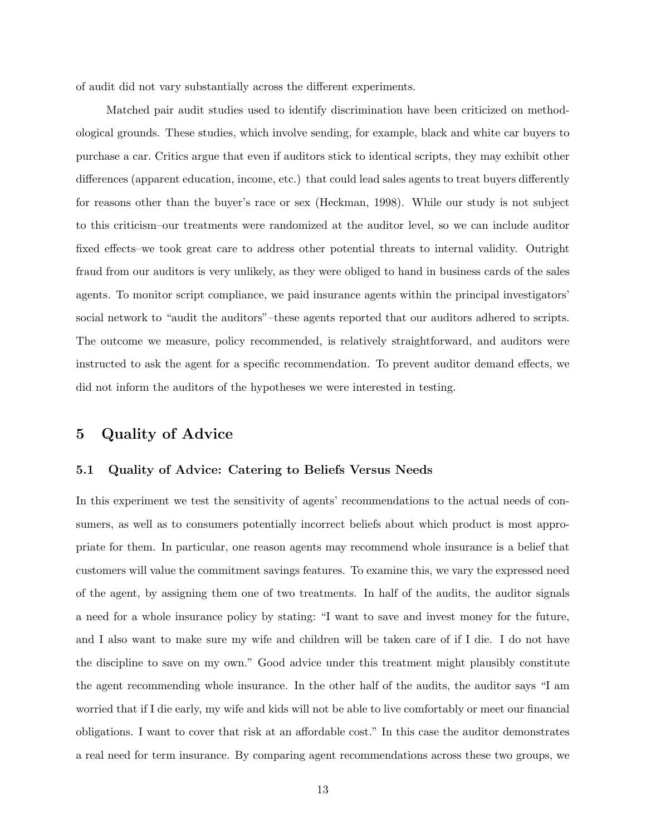of audit did not vary substantially across the different experiments.

Matched pair audit studies used to identify discrimination have been criticized on methodological grounds. These studies, which involve sending, for example, black and white car buyers to purchase a car. Critics argue that even if auditors stick to identical scripts, they may exhibit other differences (apparent education, income, etc.) that could lead sales agents to treat buyers differently for reasons other than the buyer's race or sex (Heckman, 1998). While our study is not subject to this criticism–our treatments were randomized at the auditor level, so we can include auditor fixed effects–we took great care to address other potential threats to internal validity. Outright fraud from our auditors is very unlikely, as they were obliged to hand in business cards of the sales agents. To monitor script compliance, we paid insurance agents within the principal investigators' social network to "audit the auditors"–these agents reported that our auditors adhered to scripts. The outcome we measure, policy recommended, is relatively straightforward, and auditors were instructed to ask the agent for a specific recommendation. To prevent auditor demand effects, we did not inform the auditors of the hypotheses we were interested in testing.

## 5 Quality of Advice

#### 5.1 Quality of Advice: Catering to Beliefs Versus Needs

In this experiment we test the sensitivity of agents' recommendations to the actual needs of consumers, as well as to consumers potentially incorrect beliefs about which product is most appropriate for them. In particular, one reason agents may recommend whole insurance is a belief that customers will value the commitment savings features. To examine this, we vary the expressed need of the agent, by assigning them one of two treatments. In half of the audits, the auditor signals a need for a whole insurance policy by stating: "I want to save and invest money for the future, and I also want to make sure my wife and children will be taken care of if I die. I do not have the discipline to save on my own." Good advice under this treatment might plausibly constitute the agent recommending whole insurance. In the other half of the audits, the auditor says "I am worried that if I die early, my wife and kids will not be able to live comfortably or meet our financial obligations. I want to cover that risk at an affordable cost." In this case the auditor demonstrates a real need for term insurance. By comparing agent recommendations across these two groups, we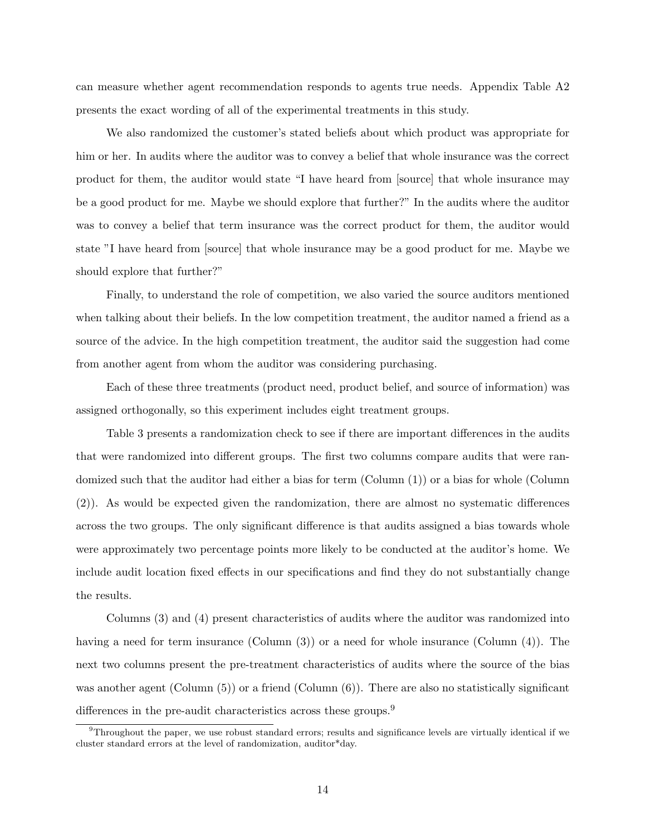can measure whether agent recommendation responds to agents true needs. Appendix Table A2 presents the exact wording of all of the experimental treatments in this study.

We also randomized the customer's stated beliefs about which product was appropriate for him or her. In audits where the auditor was to convey a belief that whole insurance was the correct product for them, the auditor would state "I have heard from [source] that whole insurance may be a good product for me. Maybe we should explore that further?" In the audits where the auditor was to convey a belief that term insurance was the correct product for them, the auditor would state "I have heard from [source] that whole insurance may be a good product for me. Maybe we should explore that further?"

Finally, to understand the role of competition, we also varied the source auditors mentioned when talking about their beliefs. In the low competition treatment, the auditor named a friend as a source of the advice. In the high competition treatment, the auditor said the suggestion had come from another agent from whom the auditor was considering purchasing.

Each of these three treatments (product need, product belief, and source of information) was assigned orthogonally, so this experiment includes eight treatment groups.

Table 3 presents a randomization check to see if there are important differences in the audits that were randomized into different groups. The first two columns compare audits that were randomized such that the auditor had either a bias for term (Column (1)) or a bias for whole (Column (2)). As would be expected given the randomization, there are almost no systematic differences across the two groups. The only significant difference is that audits assigned a bias towards whole were approximately two percentage points more likely to be conducted at the auditor's home. We include audit location fixed effects in our specifications and find they do not substantially change the results.

Columns (3) and (4) present characteristics of audits where the auditor was randomized into having a need for term insurance (Column (3)) or a need for whole insurance (Column (4)). The next two columns present the pre-treatment characteristics of audits where the source of the bias was another agent (Column  $(5)$ ) or a friend (Column  $(6)$ ). There are also no statistically significant differences in the pre-audit characteristics across these groups.<sup>9</sup>

 $9$ Throughout the paper, we use robust standard errors; results and significance levels are virtually identical if we cluster standard errors at the level of randomization, auditor\*day.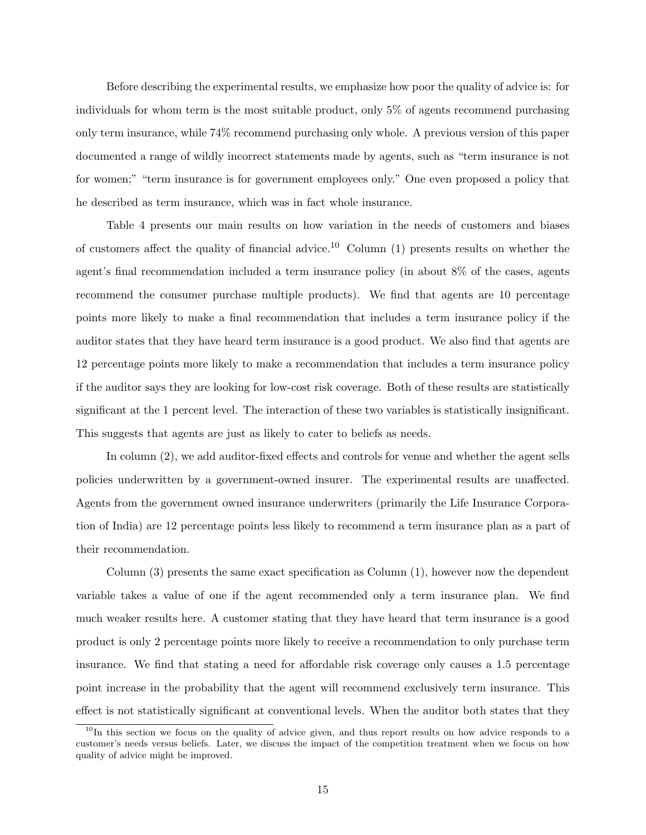Before describing the experimental results, we emphasize how poor the quality of advice is: for individuals for whom term is the most suitable product, only 5% of agents recommend purchasing only term insurance, while 74% recommend purchasing only whole. A previous version of this paper documented a range of wildly incorrect statements made by agents, such as "term insurance is not for women;" "term insurance is for government employees only." One even proposed a policy that he described as term insurance, which was in fact whole insurance.

Table 4 presents our main results on how variation in the needs of customers and biases of customers affect the quality of financial advice.<sup>10</sup> Column  $(1)$  presents results on whether the agent's final recommendation included a term insurance policy (in about 8% of the cases, agents recommend the consumer purchase multiple products). We find that agents are 10 percentage points more likely to make a final recommendation that includes a term insurance policy if the auditor states that they have heard term insurance is a good product. We also find that agents are 12 percentage points more likely to make a recommendation that includes a term insurance policy if the auditor says they are looking for low-cost risk coverage. Both of these results are statistically significant at the 1 percent level. The interaction of these two variables is statistically insignificant. This suggests that agents are just as likely to cater to beliefs as needs.

In column (2), we add auditor-fixed effects and controls for venue and whether the agent sells policies underwritten by a government-owned insurer. The experimental results are unaffected. Agents from the government owned insurance underwriters (primarily the Life Insurance Corporation of India) are 12 percentage points less likely to recommend a term insurance plan as a part of their recommendation.

Column (3) presents the same exact specification as Column (1), however now the dependent variable takes a value of one if the agent recommended only a term insurance plan. We find much weaker results here. A customer stating that they have heard that term insurance is a good product is only 2 percentage points more likely to receive a recommendation to only purchase term insurance. We find that stating a need for affordable risk coverage only causes a 1.5 percentage point increase in the probability that the agent will recommend exclusively term insurance. This effect is not statistically significant at conventional levels. When the auditor both states that they

<sup>&</sup>lt;sup>10</sup>In this section we focus on the quality of advice given, and thus report results on how advice responds to a customer's needs versus beliefs. Later, we discuss the impact of the competition treatment when we focus on how quality of advice might be improved.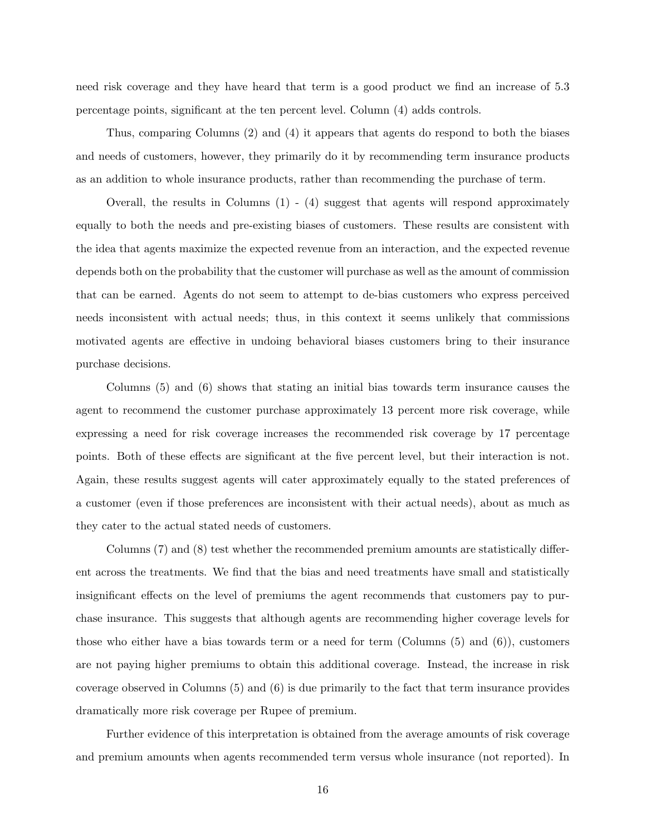need risk coverage and they have heard that term is a good product we find an increase of 5.3 percentage points, significant at the ten percent level. Column (4) adds controls.

Thus, comparing Columns (2) and (4) it appears that agents do respond to both the biases and needs of customers, however, they primarily do it by recommending term insurance products as an addition to whole insurance products, rather than recommending the purchase of term.

Overall, the results in Columns  $(1)$  -  $(4)$  suggest that agents will respond approximately equally to both the needs and pre-existing biases of customers. These results are consistent with the idea that agents maximize the expected revenue from an interaction, and the expected revenue depends both on the probability that the customer will purchase as well as the amount of commission that can be earned. Agents do not seem to attempt to de-bias customers who express perceived needs inconsistent with actual needs; thus, in this context it seems unlikely that commissions motivated agents are effective in undoing behavioral biases customers bring to their insurance purchase decisions.

Columns (5) and (6) shows that stating an initial bias towards term insurance causes the agent to recommend the customer purchase approximately 13 percent more risk coverage, while expressing a need for risk coverage increases the recommended risk coverage by 17 percentage points. Both of these effects are significant at the five percent level, but their interaction is not. Again, these results suggest agents will cater approximately equally to the stated preferences of a customer (even if those preferences are inconsistent with their actual needs), about as much as they cater to the actual stated needs of customers.

Columns (7) and (8) test whether the recommended premium amounts are statistically different across the treatments. We find that the bias and need treatments have small and statistically insignificant effects on the level of premiums the agent recommends that customers pay to purchase insurance. This suggests that although agents are recommending higher coverage levels for those who either have a bias towards term or a need for term (Columns (5) and (6)), customers are not paying higher premiums to obtain this additional coverage. Instead, the increase in risk coverage observed in Columns (5) and (6) is due primarily to the fact that term insurance provides dramatically more risk coverage per Rupee of premium.

Further evidence of this interpretation is obtained from the average amounts of risk coverage and premium amounts when agents recommended term versus whole insurance (not reported). In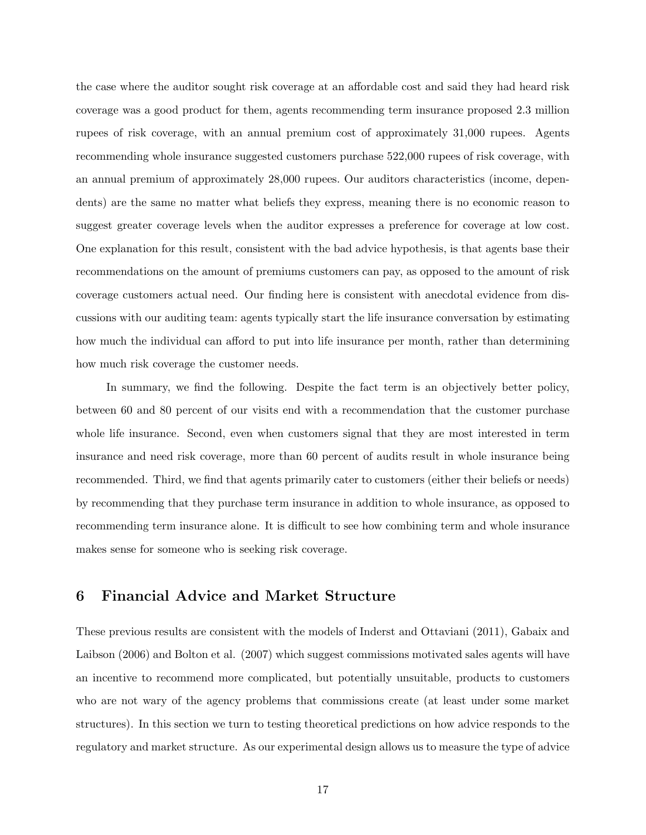the case where the auditor sought risk coverage at an affordable cost and said they had heard risk coverage was a good product for them, agents recommending term insurance proposed 2.3 million rupees of risk coverage, with an annual premium cost of approximately 31,000 rupees. Agents recommending whole insurance suggested customers purchase 522,000 rupees of risk coverage, with an annual premium of approximately 28,000 rupees. Our auditors characteristics (income, dependents) are the same no matter what beliefs they express, meaning there is no economic reason to suggest greater coverage levels when the auditor expresses a preference for coverage at low cost. One explanation for this result, consistent with the bad advice hypothesis, is that agents base their recommendations on the amount of premiums customers can pay, as opposed to the amount of risk coverage customers actual need. Our finding here is consistent with anecdotal evidence from discussions with our auditing team: agents typically start the life insurance conversation by estimating how much the individual can afford to put into life insurance per month, rather than determining how much risk coverage the customer needs.

In summary, we find the following. Despite the fact term is an objectively better policy, between 60 and 80 percent of our visits end with a recommendation that the customer purchase whole life insurance. Second, even when customers signal that they are most interested in term insurance and need risk coverage, more than 60 percent of audits result in whole insurance being recommended. Third, we find that agents primarily cater to customers (either their beliefs or needs) by recommending that they purchase term insurance in addition to whole insurance, as opposed to recommending term insurance alone. It is difficult to see how combining term and whole insurance makes sense for someone who is seeking risk coverage.

## 6 Financial Advice and Market Structure

These previous results are consistent with the models of Inderst and Ottaviani (2011), Gabaix and Laibson (2006) and Bolton et al. (2007) which suggest commissions motivated sales agents will have an incentive to recommend more complicated, but potentially unsuitable, products to customers who are not wary of the agency problems that commissions create (at least under some market structures). In this section we turn to testing theoretical predictions on how advice responds to the regulatory and market structure. As our experimental design allows us to measure the type of advice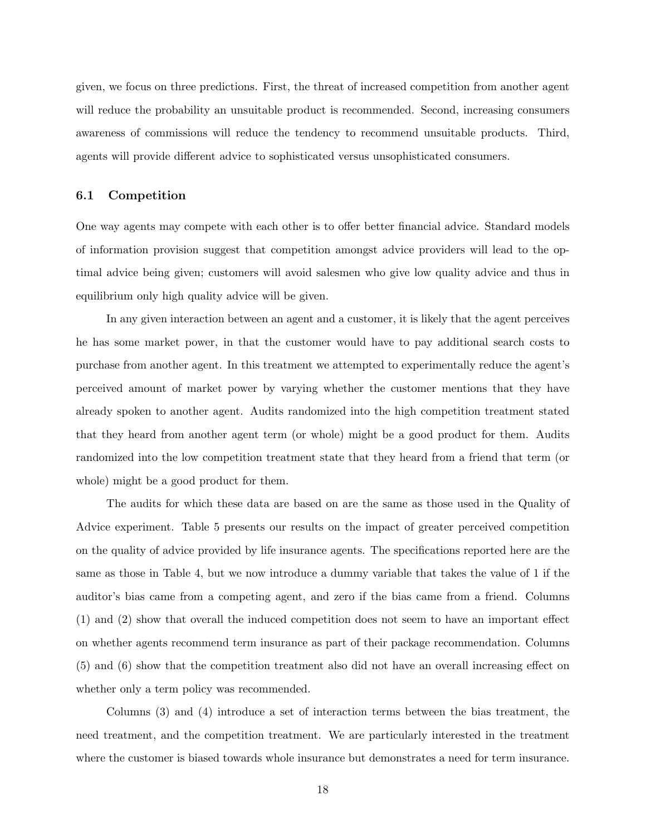given, we focus on three predictions. First, the threat of increased competition from another agent will reduce the probability an unsuitable product is recommended. Second, increasing consumers awareness of commissions will reduce the tendency to recommend unsuitable products. Third, agents will provide different advice to sophisticated versus unsophisticated consumers.

#### 6.1 Competition

One way agents may compete with each other is to offer better financial advice. Standard models of information provision suggest that competition amongst advice providers will lead to the optimal advice being given; customers will avoid salesmen who give low quality advice and thus in equilibrium only high quality advice will be given.

In any given interaction between an agent and a customer, it is likely that the agent perceives he has some market power, in that the customer would have to pay additional search costs to purchase from another agent. In this treatment we attempted to experimentally reduce the agent's perceived amount of market power by varying whether the customer mentions that they have already spoken to another agent. Audits randomized into the high competition treatment stated that they heard from another agent term (or whole) might be a good product for them. Audits randomized into the low competition treatment state that they heard from a friend that term (or whole) might be a good product for them.

The audits for which these data are based on are the same as those used in the Quality of Advice experiment. Table 5 presents our results on the impact of greater perceived competition on the quality of advice provided by life insurance agents. The specifications reported here are the same as those in Table 4, but we now introduce a dummy variable that takes the value of 1 if the auditor's bias came from a competing agent, and zero if the bias came from a friend. Columns (1) and (2) show that overall the induced competition does not seem to have an important effect on whether agents recommend term insurance as part of their package recommendation. Columns (5) and (6) show that the competition treatment also did not have an overall increasing effect on whether only a term policy was recommended.

Columns (3) and (4) introduce a set of interaction terms between the bias treatment, the need treatment, and the competition treatment. We are particularly interested in the treatment where the customer is biased towards whole insurance but demonstrates a need for term insurance.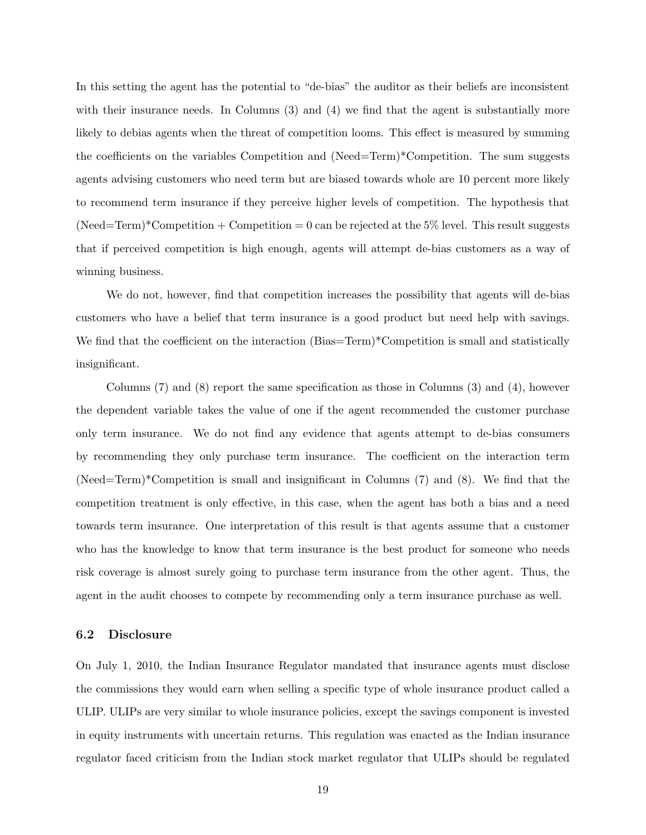In this setting the agent has the potential to "de-bias" the auditor as their beliefs are inconsistent with their insurance needs. In Columns (3) and (4) we find that the agent is substantially more likely to debias agents when the threat of competition looms. This effect is measured by summing the coefficients on the variables Competition and (Need=Term)\*Competition. The sum suggests agents advising customers who need term but are biased towards whole are 10 percent more likely to recommend term insurance if they perceive higher levels of competition. The hypothesis that  $(Need=Term)*Competition + Competition = 0 can be rejected at the 5% level. This result suggests$ that if perceived competition is high enough, agents will attempt de-bias customers as a way of winning business.

We do not, however, find that competition increases the possibility that agents will de-bias customers who have a belief that term insurance is a good product but need help with savings. We find that the coefficient on the interaction (Bias=Term)\*Competition is small and statistically insignificant.

Columns  $(7)$  and  $(8)$  report the same specification as those in Columns  $(3)$  and  $(4)$ , however the dependent variable takes the value of one if the agent recommended the customer purchase only term insurance. We do not find any evidence that agents attempt to de-bias consumers by recommending they only purchase term insurance. The coefficient on the interaction term (Need=Term)\*Competition is small and insignificant in Columns (7) and (8). We find that the competition treatment is only effective, in this case, when the agent has both a bias and a need towards term insurance. One interpretation of this result is that agents assume that a customer who has the knowledge to know that term insurance is the best product for someone who needs risk coverage is almost surely going to purchase term insurance from the other agent. Thus, the agent in the audit chooses to compete by recommending only a term insurance purchase as well.

#### 6.2 Disclosure

On July 1, 2010, the Indian Insurance Regulator mandated that insurance agents must disclose the commissions they would earn when selling a specific type of whole insurance product called a ULIP. ULIPs are very similar to whole insurance policies, except the savings component is invested in equity instruments with uncertain returns. This regulation was enacted as the Indian insurance regulator faced criticism from the Indian stock market regulator that ULIPs should be regulated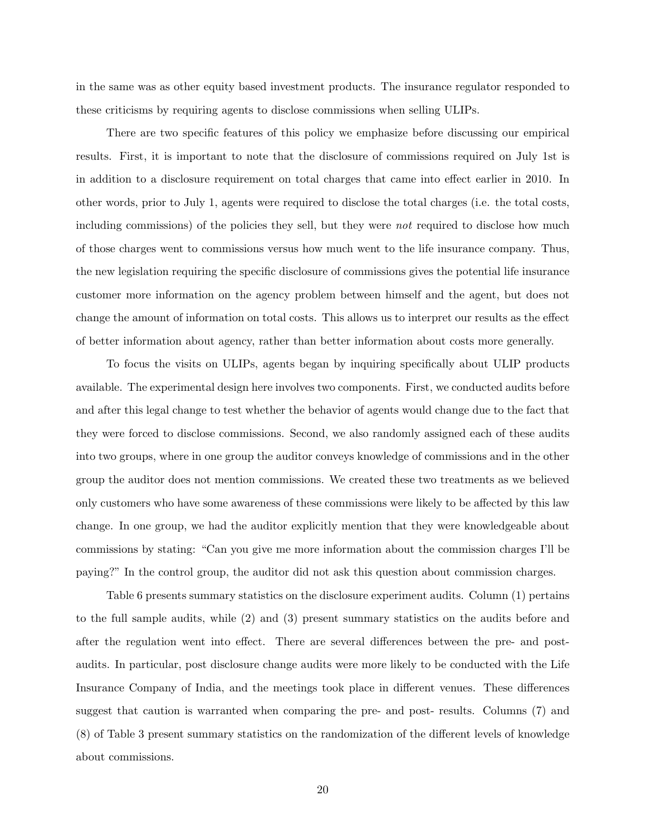in the same was as other equity based investment products. The insurance regulator responded to these criticisms by requiring agents to disclose commissions when selling ULIPs.

There are two specific features of this policy we emphasize before discussing our empirical results. First, it is important to note that the disclosure of commissions required on July 1st is in addition to a disclosure requirement on total charges that came into effect earlier in 2010. In other words, prior to July 1, agents were required to disclose the total charges (i.e. the total costs, including commissions) of the policies they sell, but they were *not* required to disclose how much of those charges went to commissions versus how much went to the life insurance company. Thus, the new legislation requiring the specific disclosure of commissions gives the potential life insurance customer more information on the agency problem between himself and the agent, but does not change the amount of information on total costs. This allows us to interpret our results as the effect of better information about agency, rather than better information about costs more generally.

To focus the visits on ULIPs, agents began by inquiring specifically about ULIP products available. The experimental design here involves two components. First, we conducted audits before and after this legal change to test whether the behavior of agents would change due to the fact that they were forced to disclose commissions. Second, we also randomly assigned each of these audits into two groups, where in one group the auditor conveys knowledge of commissions and in the other group the auditor does not mention commissions. We created these two treatments as we believed only customers who have some awareness of these commissions were likely to be affected by this law change. In one group, we had the auditor explicitly mention that they were knowledgeable about commissions by stating: "Can you give me more information about the commission charges I'll be paying?" In the control group, the auditor did not ask this question about commission charges.

Table 6 presents summary statistics on the disclosure experiment audits. Column (1) pertains to the full sample audits, while (2) and (3) present summary statistics on the audits before and after the regulation went into effect. There are several differences between the pre- and postaudits. In particular, post disclosure change audits were more likely to be conducted with the Life Insurance Company of India, and the meetings took place in different venues. These differences suggest that caution is warranted when comparing the pre- and post- results. Columns (7) and (8) of Table 3 present summary statistics on the randomization of the different levels of knowledge about commissions.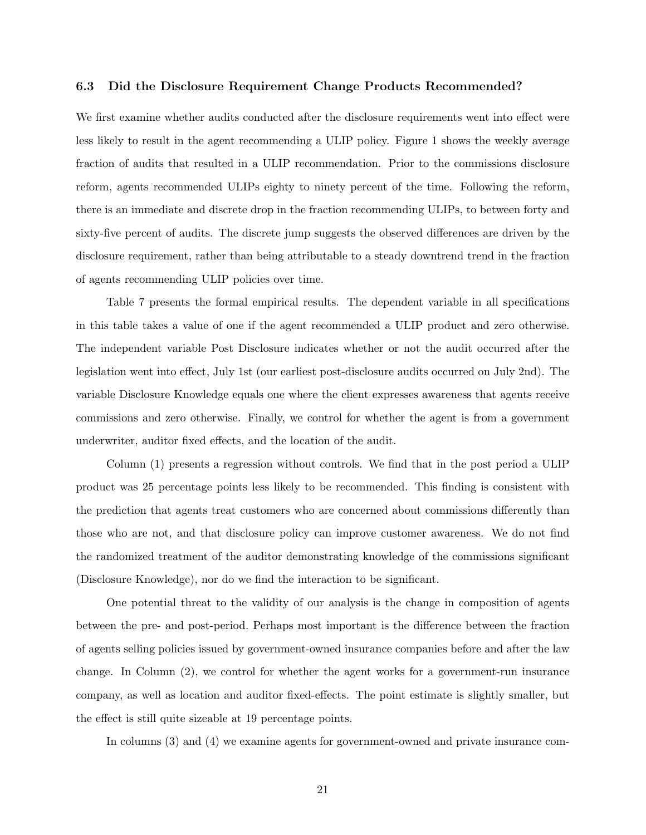#### 6.3 Did the Disclosure Requirement Change Products Recommended?

We first examine whether audits conducted after the disclosure requirements went into effect were less likely to result in the agent recommending a ULIP policy. Figure 1 shows the weekly average fraction of audits that resulted in a ULIP recommendation. Prior to the commissions disclosure reform, agents recommended ULIPs eighty to ninety percent of the time. Following the reform, there is an immediate and discrete drop in the fraction recommending ULIPs, to between forty and sixty-five percent of audits. The discrete jump suggests the observed differences are driven by the disclosure requirement, rather than being attributable to a steady downtrend trend in the fraction of agents recommending ULIP policies over time.

Table 7 presents the formal empirical results. The dependent variable in all specifications in this table takes a value of one if the agent recommended a ULIP product and zero otherwise. The independent variable Post Disclosure indicates whether or not the audit occurred after the legislation went into effect, July 1st (our earliest post-disclosure audits occurred on July 2nd). The variable Disclosure Knowledge equals one where the client expresses awareness that agents receive commissions and zero otherwise. Finally, we control for whether the agent is from a government underwriter, auditor fixed effects, and the location of the audit.

Column (1) presents a regression without controls. We find that in the post period a ULIP product was 25 percentage points less likely to be recommended. This finding is consistent with the prediction that agents treat customers who are concerned about commissions differently than those who are not, and that disclosure policy can improve customer awareness. We do not find the randomized treatment of the auditor demonstrating knowledge of the commissions significant (Disclosure Knowledge), nor do we find the interaction to be significant.

One potential threat to the validity of our analysis is the change in composition of agents between the pre- and post-period. Perhaps most important is the difference between the fraction of agents selling policies issued by government-owned insurance companies before and after the law change. In Column (2), we control for whether the agent works for a government-run insurance company, as well as location and auditor fixed-effects. The point estimate is slightly smaller, but the effect is still quite sizeable at 19 percentage points.

In columns (3) and (4) we examine agents for government-owned and private insurance com-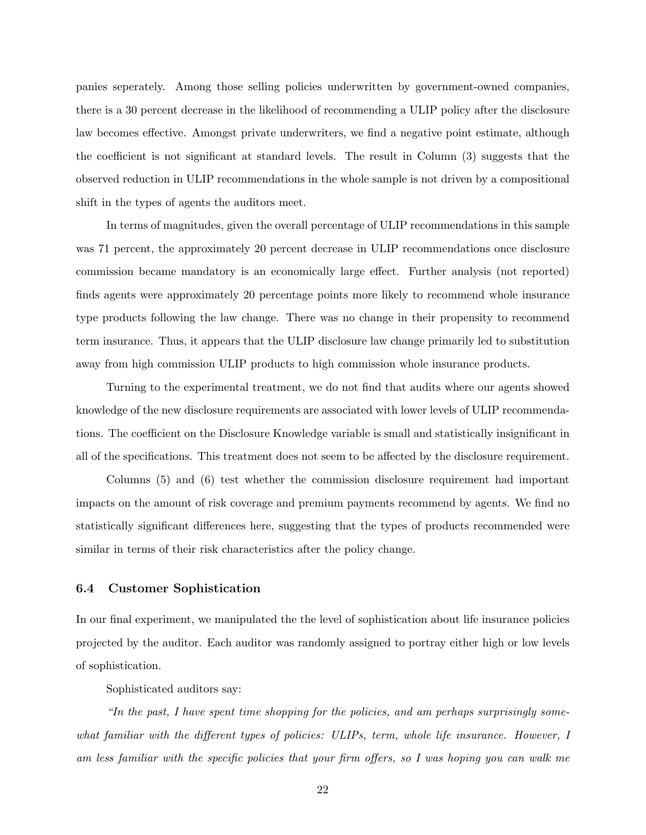panies seperately. Among those selling policies underwritten by government-owned companies, there is a 30 percent decrease in the likelihood of recommending a ULIP policy after the disclosure law becomes effective. Amongst private underwriters, we find a negative point estimate, although the coefficient is not significant at standard levels. The result in Column (3) suggests that the observed reduction in ULIP recommendations in the whole sample is not driven by a compositional shift in the types of agents the auditors meet.

In terms of magnitudes, given the overall percentage of ULIP recommendations in this sample was 71 percent, the approximately 20 percent decrease in ULIP recommendations once disclosure commission became mandatory is an economically large effect. Further analysis (not reported) finds agents were approximately 20 percentage points more likely to recommend whole insurance type products following the law change. There was no change in their propensity to recommend term insurance. Thus, it appears that the ULIP disclosure law change primarily led to substitution away from high commission ULIP products to high commission whole insurance products.

Turning to the experimental treatment, we do not find that audits where our agents showed knowledge of the new disclosure requirements are associated with lower levels of ULIP recommendations. The coefficient on the Disclosure Knowledge variable is small and statistically insignificant in all of the specifications. This treatment does not seem to be affected by the disclosure requirement.

Columns (5) and (6) test whether the commission disclosure requirement had important impacts on the amount of risk coverage and premium payments recommend by agents. We find no statistically significant differences here, suggesting that the types of products recommended were similar in terms of their risk characteristics after the policy change.

### 6.4 Customer Sophistication

In our final experiment, we manipulated the the level of sophistication about life insurance policies projected by the auditor. Each auditor was randomly assigned to portray either high or low levels of sophistication.

Sophisticated auditors say:

"In the past, I have spent time shopping for the policies, and am perhaps surprisingly somewhat familiar with the different types of policies: ULIPs, term, whole life insurance. However, I am less familiar with the specific policies that your firm offers, so I was hoping you can walk me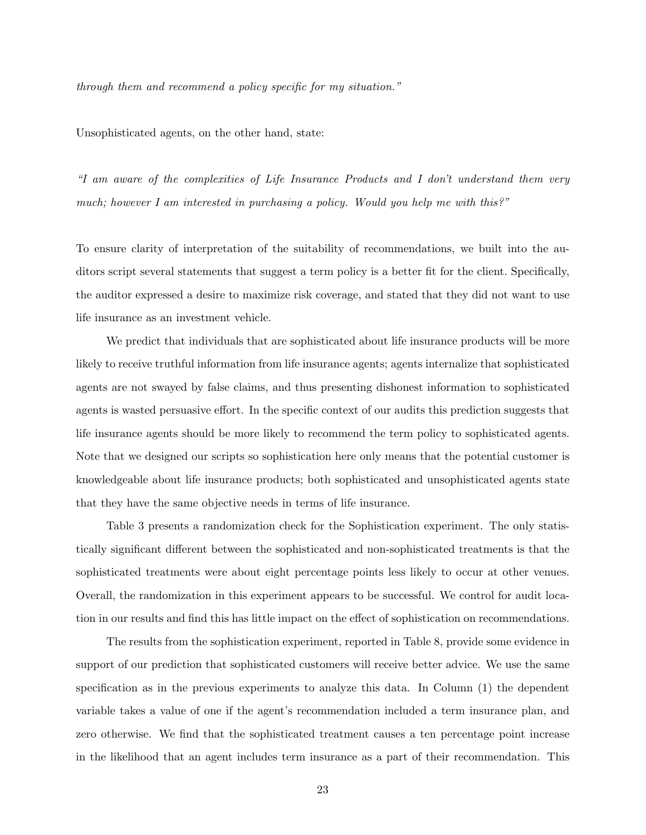through them and recommend a policy specific for my situation."

Unsophisticated agents, on the other hand, state:

"I am aware of the complexities of Life Insurance Products and I don't understand them very much; however I am interested in purchasing a policy. Would you help me with this?"

To ensure clarity of interpretation of the suitability of recommendations, we built into the auditors script several statements that suggest a term policy is a better fit for the client. Specifically, the auditor expressed a desire to maximize risk coverage, and stated that they did not want to use life insurance as an investment vehicle.

We predict that individuals that are sophisticated about life insurance products will be more likely to receive truthful information from life insurance agents; agents internalize that sophisticated agents are not swayed by false claims, and thus presenting dishonest information to sophisticated agents is wasted persuasive effort. In the specific context of our audits this prediction suggests that life insurance agents should be more likely to recommend the term policy to sophisticated agents. Note that we designed our scripts so sophistication here only means that the potential customer is knowledgeable about life insurance products; both sophisticated and unsophisticated agents state that they have the same objective needs in terms of life insurance.

Table 3 presents a randomization check for the Sophistication experiment. The only statistically significant different between the sophisticated and non-sophisticated treatments is that the sophisticated treatments were about eight percentage points less likely to occur at other venues. Overall, the randomization in this experiment appears to be successful. We control for audit location in our results and find this has little impact on the effect of sophistication on recommendations.

The results from the sophistication experiment, reported in Table 8, provide some evidence in support of our prediction that sophisticated customers will receive better advice. We use the same specification as in the previous experiments to analyze this data. In Column (1) the dependent variable takes a value of one if the agent's recommendation included a term insurance plan, and zero otherwise. We find that the sophisticated treatment causes a ten percentage point increase in the likelihood that an agent includes term insurance as a part of their recommendation. This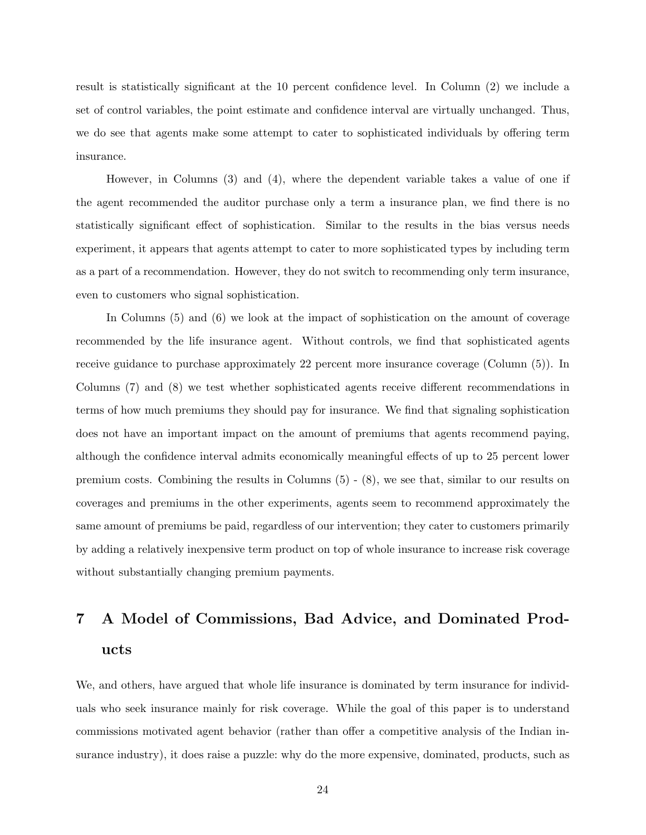result is statistically significant at the 10 percent confidence level. In Column (2) we include a set of control variables, the point estimate and confidence interval are virtually unchanged. Thus, we do see that agents make some attempt to cater to sophisticated individuals by offering term insurance.

However, in Columns (3) and (4), where the dependent variable takes a value of one if the agent recommended the auditor purchase only a term a insurance plan, we find there is no statistically significant effect of sophistication. Similar to the results in the bias versus needs experiment, it appears that agents attempt to cater to more sophisticated types by including term as a part of a recommendation. However, they do not switch to recommending only term insurance, even to customers who signal sophistication.

In Columns (5) and (6) we look at the impact of sophistication on the amount of coverage recommended by the life insurance agent. Without controls, we find that sophisticated agents receive guidance to purchase approximately 22 percent more insurance coverage (Column (5)). In Columns (7) and (8) we test whether sophisticated agents receive different recommendations in terms of how much premiums they should pay for insurance. We find that signaling sophistication does not have an important impact on the amount of premiums that agents recommend paying, although the confidence interval admits economically meaningful effects of up to 25 percent lower premium costs. Combining the results in Columns (5) - (8), we see that, similar to our results on coverages and premiums in the other experiments, agents seem to recommend approximately the same amount of premiums be paid, regardless of our intervention; they cater to customers primarily by adding a relatively inexpensive term product on top of whole insurance to increase risk coverage without substantially changing premium payments.

# 7 A Model of Commissions, Bad Advice, and Dominated Products

We, and others, have argued that whole life insurance is dominated by term insurance for individuals who seek insurance mainly for risk coverage. While the goal of this paper is to understand commissions motivated agent behavior (rather than offer a competitive analysis of the Indian insurance industry), it does raise a puzzle: why do the more expensive, dominated, products, such as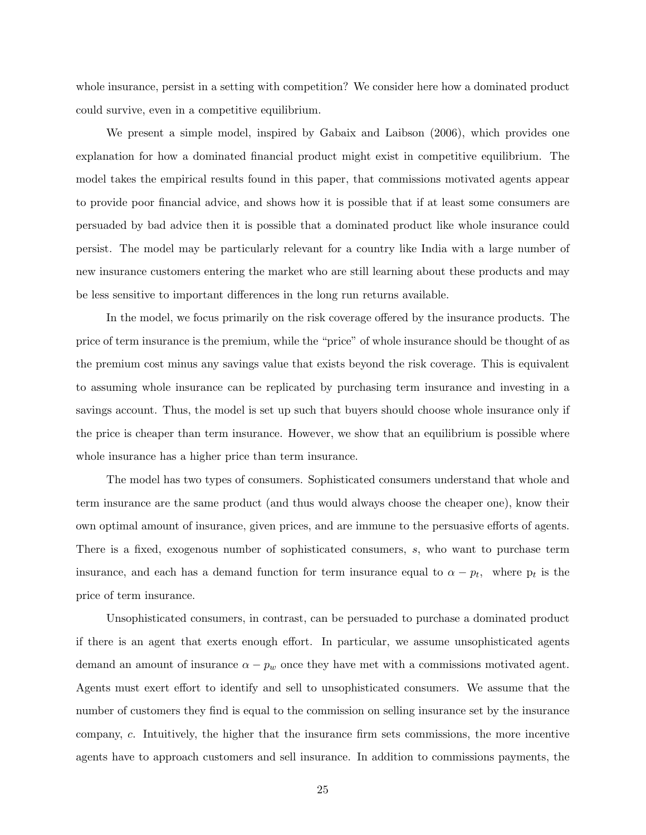whole insurance, persist in a setting with competition? We consider here how a dominated product could survive, even in a competitive equilibrium.

We present a simple model, inspired by Gabaix and Laibson (2006), which provides one explanation for how a dominated financial product might exist in competitive equilibrium. The model takes the empirical results found in this paper, that commissions motivated agents appear to provide poor financial advice, and shows how it is possible that if at least some consumers are persuaded by bad advice then it is possible that a dominated product like whole insurance could persist. The model may be particularly relevant for a country like India with a large number of new insurance customers entering the market who are still learning about these products and may be less sensitive to important differences in the long run returns available.

In the model, we focus primarily on the risk coverage offered by the insurance products. The price of term insurance is the premium, while the "price" of whole insurance should be thought of as the premium cost minus any savings value that exists beyond the risk coverage. This is equivalent to assuming whole insurance can be replicated by purchasing term insurance and investing in a savings account. Thus, the model is set up such that buyers should choose whole insurance only if the price is cheaper than term insurance. However, we show that an equilibrium is possible where whole insurance has a higher price than term insurance.

The model has two types of consumers. Sophisticated consumers understand that whole and term insurance are the same product (and thus would always choose the cheaper one), know their own optimal amount of insurance, given prices, and are immune to the persuasive efforts of agents. There is a fixed, exogenous number of sophisticated consumers, s, who want to purchase term insurance, and each has a demand function for term insurance equal to  $\alpha - p_t$ , where  $p_t$  is the price of term insurance.

Unsophisticated consumers, in contrast, can be persuaded to purchase a dominated product if there is an agent that exerts enough effort. In particular, we assume unsophisticated agents demand an amount of insurance  $\alpha - p_w$  once they have met with a commissions motivated agent. Agents must exert effort to identify and sell to unsophisticated consumers. We assume that the number of customers they find is equal to the commission on selling insurance set by the insurance company, c. Intuitively, the higher that the insurance firm sets commissions, the more incentive agents have to approach customers and sell insurance. In addition to commissions payments, the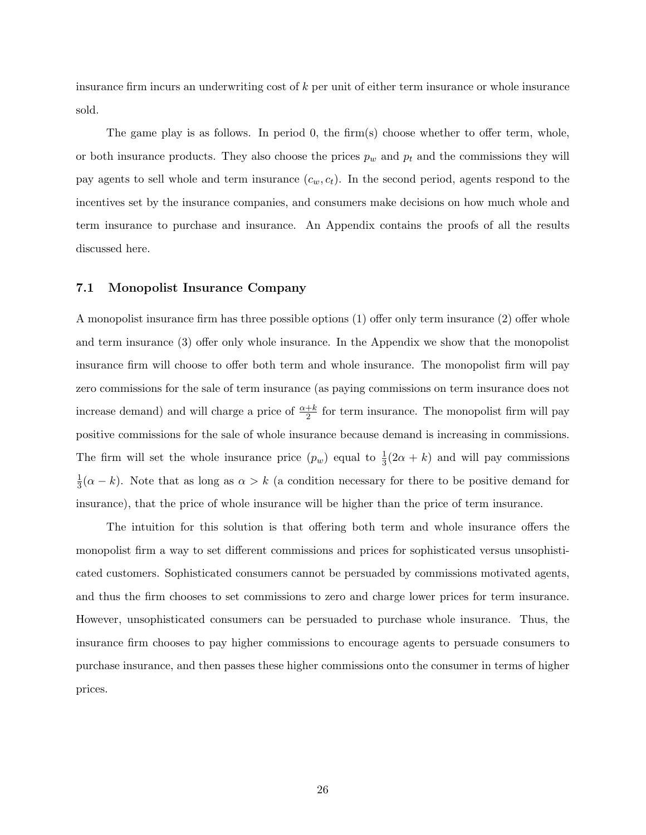insurance firm incurs an underwriting cost of k per unit of either term insurance or whole insurance sold.

The game play is as follows. In period 0, the firm(s) choose whether to offer term, whole, or both insurance products. They also choose the prices  $p_w$  and  $p_t$  and the commissions they will pay agents to sell whole and term insurance  $(c_w, c_t)$ . In the second period, agents respond to the incentives set by the insurance companies, and consumers make decisions on how much whole and term insurance to purchase and insurance. An Appendix contains the proofs of all the results discussed here.

#### 7.1 Monopolist Insurance Company

A monopolist insurance firm has three possible options (1) offer only term insurance (2) offer whole and term insurance (3) offer only whole insurance. In the Appendix we show that the monopolist insurance firm will choose to offer both term and whole insurance. The monopolist firm will pay zero commissions for the sale of term insurance (as paying commissions on term insurance does not increase demand) and will charge a price of  $\frac{\alpha+k}{2}$  for term insurance. The monopolist firm will pay positive commissions for the sale of whole insurance because demand is increasing in commissions. The firm will set the whole insurance price  $(p_w)$  equal to  $\frac{1}{3}(2\alpha + k)$  and will pay commissions 1  $\frac{1}{3}(\alpha - k)$ . Note that as long as  $\alpha > k$  (a condition necessary for there to be positive demand for insurance), that the price of whole insurance will be higher than the price of term insurance.

The intuition for this solution is that offering both term and whole insurance offers the monopolist firm a way to set different commissions and prices for sophisticated versus unsophisticated customers. Sophisticated consumers cannot be persuaded by commissions motivated agents, and thus the firm chooses to set commissions to zero and charge lower prices for term insurance. However, unsophisticated consumers can be persuaded to purchase whole insurance. Thus, the insurance firm chooses to pay higher commissions to encourage agents to persuade consumers to purchase insurance, and then passes these higher commissions onto the consumer in terms of higher prices.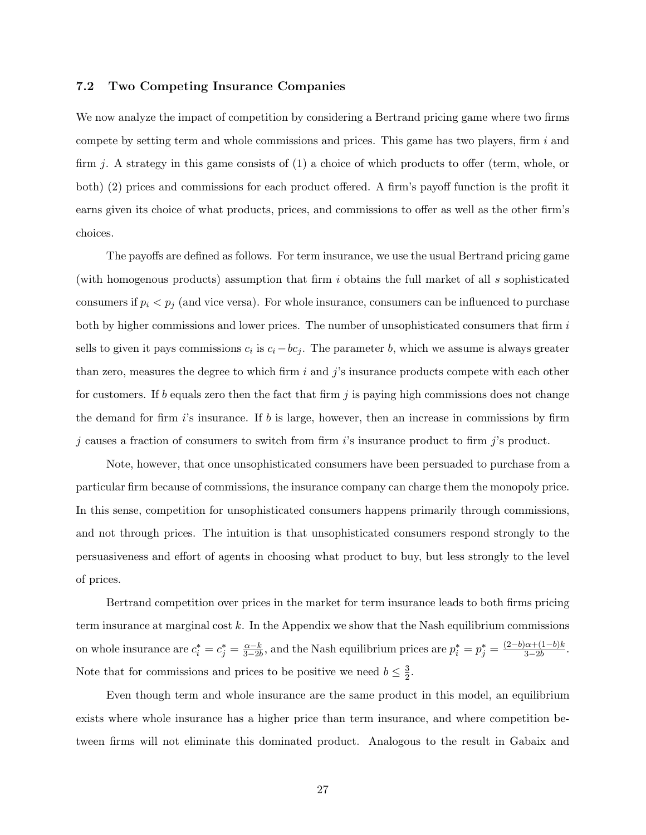#### 7.2 Two Competing Insurance Companies

We now analyze the impact of competition by considering a Bertrand pricing game where two firms compete by setting term and whole commissions and prices. This game has two players, firm  $i$  and firm j. A strategy in this game consists of  $(1)$  a choice of which products to offer (term, whole, or both) (2) prices and commissions for each product offered. A firm's payoff function is the profit it earns given its choice of what products, prices, and commissions to offer as well as the other firm's choices.

The payoffs are defined as follows. For term insurance, we use the usual Bertrand pricing game (with homogenous products) assumption that firm i obtains the full market of all s sophisticated consumers if  $p_i < p_j$  (and vice versa). For whole insurance, consumers can be influenced to purchase both by higher commissions and lower prices. The number of unsophisticated consumers that firm  $i$ sells to given it pays commissions  $c_i$  is  $c_i - bc_j$ . The parameter b, which we assume is always greater than zero, measures the degree to which firm i and  $j$ 's insurance products compete with each other for customers. If b equals zero then the fact that firm  $j$  is paying high commissions does not change the demand for firm  $i$ 's insurance. If  $b$  is large, however, then an increase in commissions by firm  $j$  causes a fraction of consumers to switch from firm  $i$ 's insurance product to firm  $j$ 's product.

Note, however, that once unsophisticated consumers have been persuaded to purchase from a particular firm because of commissions, the insurance company can charge them the monopoly price. In this sense, competition for unsophisticated consumers happens primarily through commissions, and not through prices. The intuition is that unsophisticated consumers respond strongly to the persuasiveness and effort of agents in choosing what product to buy, but less strongly to the level of prices.

Bertrand competition over prices in the market for term insurance leads to both firms pricing term insurance at marginal cost  $k$ . In the Appendix we show that the Nash equilibrium commissions on whole insurance are  $c_i^* = c_j^* = \frac{\alpha - k}{3 - 2k}$  $\frac{\alpha-k}{3-2b}$ , and the Nash equilibrium prices are  $p_i^* = p_j^* = \frac{(2-b)\alpha + (1-b)k}{3-2b}$  $\frac{a+(1-b)\kappa}{3-2b}$ . Note that for commissions and prices to be positive we need  $b \leq \frac{3}{2}$  $\frac{3}{2}$ .

Even though term and whole insurance are the same product in this model, an equilibrium exists where whole insurance has a higher price than term insurance, and where competition between firms will not eliminate this dominated product. Analogous to the result in Gabaix and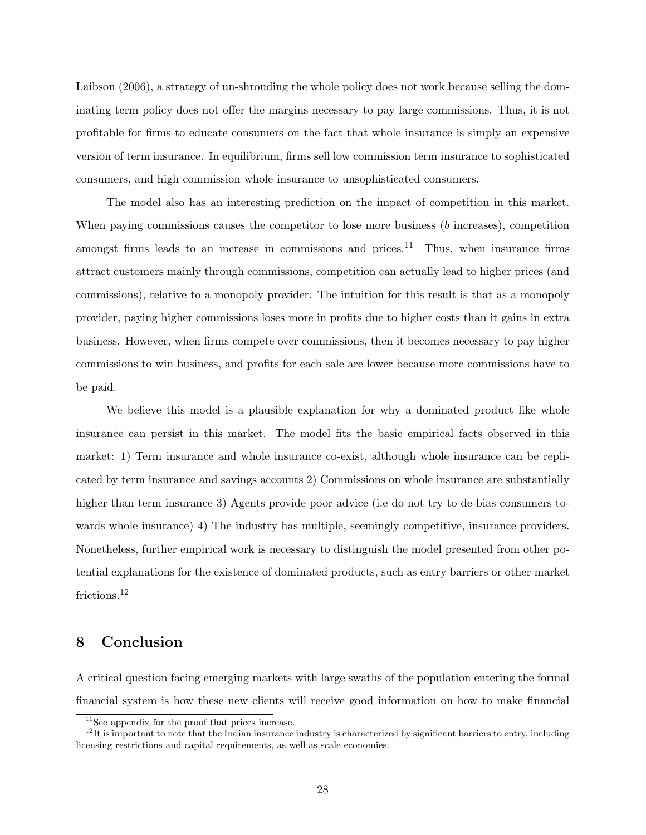Laibson (2006), a strategy of un-shrouding the whole policy does not work because selling the dominating term policy does not offer the margins necessary to pay large commissions. Thus, it is not profitable for firms to educate consumers on the fact that whole insurance is simply an expensive version of term insurance. In equilibrium, firms sell low commission term insurance to sophisticated consumers, and high commission whole insurance to unsophisticated consumers.

The model also has an interesting prediction on the impact of competition in this market. When paying commissions causes the competitor to lose more business (b increases), competition amongst firms leads to an increase in commissions and prices.<sup>11</sup> Thus, when insurance firms attract customers mainly through commissions, competition can actually lead to higher prices (and commissions), relative to a monopoly provider. The intuition for this result is that as a monopoly provider, paying higher commissions loses more in profits due to higher costs than it gains in extra business. However, when firms compete over commissions, then it becomes necessary to pay higher commissions to win business, and profits for each sale are lower because more commissions have to be paid.

We believe this model is a plausible explanation for why a dominated product like whole insurance can persist in this market. The model fits the basic empirical facts observed in this market: 1) Term insurance and whole insurance co-exist, although whole insurance can be replicated by term insurance and savings accounts 2) Commissions on whole insurance are substantially higher than term insurance 3) Agents provide poor advice (i.e do not try to de-bias consumers towards whole insurance) 4) The industry has multiple, seemingly competitive, insurance providers. Nonetheless, further empirical work is necessary to distinguish the model presented from other potential explanations for the existence of dominated products, such as entry barriers or other market frictions.<sup>12</sup>

## 8 Conclusion

A critical question facing emerging markets with large swaths of the population entering the formal financial system is how these new clients will receive good information on how to make financial

<sup>11</sup>See appendix for the proof that prices increase.

 $12$ It is important to note that the Indian insurance industry is characterized by significant barriers to entry, including licensing restrictions and capital requirements, as well as scale economies.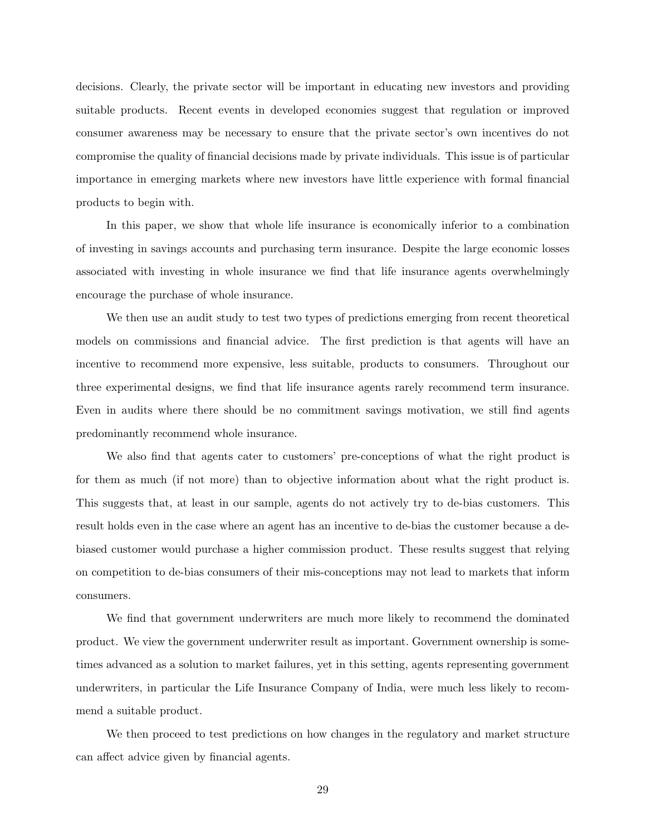decisions. Clearly, the private sector will be important in educating new investors and providing suitable products. Recent events in developed economies suggest that regulation or improved consumer awareness may be necessary to ensure that the private sector's own incentives do not compromise the quality of financial decisions made by private individuals. This issue is of particular importance in emerging markets where new investors have little experience with formal financial products to begin with.

In this paper, we show that whole life insurance is economically inferior to a combination of investing in savings accounts and purchasing term insurance. Despite the large economic losses associated with investing in whole insurance we find that life insurance agents overwhelmingly encourage the purchase of whole insurance.

We then use an audit study to test two types of predictions emerging from recent theoretical models on commissions and financial advice. The first prediction is that agents will have an incentive to recommend more expensive, less suitable, products to consumers. Throughout our three experimental designs, we find that life insurance agents rarely recommend term insurance. Even in audits where there should be no commitment savings motivation, we still find agents predominantly recommend whole insurance.

We also find that agents cater to customers' pre-conceptions of what the right product is for them as much (if not more) than to objective information about what the right product is. This suggests that, at least in our sample, agents do not actively try to de-bias customers. This result holds even in the case where an agent has an incentive to de-bias the customer because a debiased customer would purchase a higher commission product. These results suggest that relying on competition to de-bias consumers of their mis-conceptions may not lead to markets that inform consumers.

We find that government underwriters are much more likely to recommend the dominated product. We view the government underwriter result as important. Government ownership is sometimes advanced as a solution to market failures, yet in this setting, agents representing government underwriters, in particular the Life Insurance Company of India, were much less likely to recommend a suitable product.

We then proceed to test predictions on how changes in the regulatory and market structure can affect advice given by financial agents.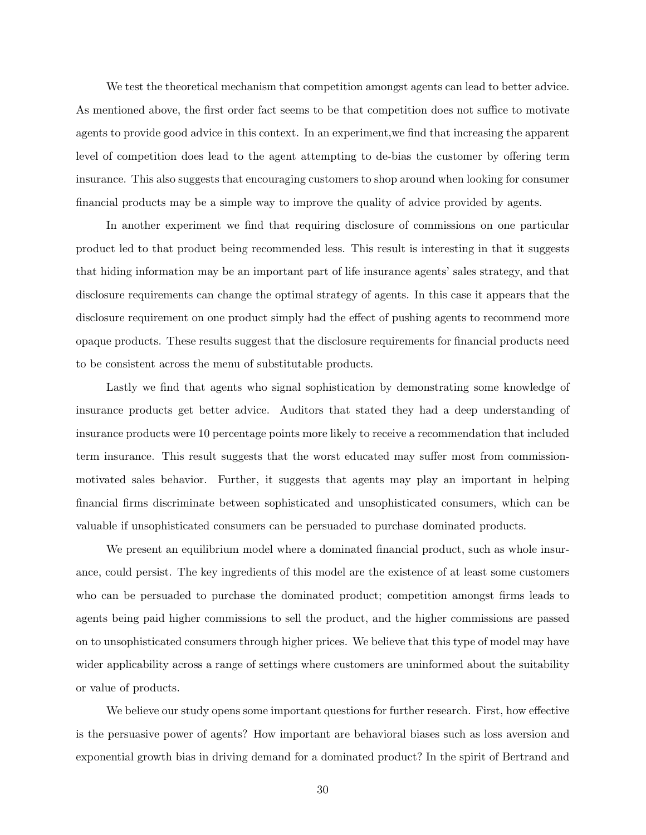We test the theoretical mechanism that competition amongst agents can lead to better advice. As mentioned above, the first order fact seems to be that competition does not suffice to motivate agents to provide good advice in this context. In an experiment,we find that increasing the apparent level of competition does lead to the agent attempting to de-bias the customer by offering term insurance. This also suggests that encouraging customers to shop around when looking for consumer financial products may be a simple way to improve the quality of advice provided by agents.

In another experiment we find that requiring disclosure of commissions on one particular product led to that product being recommended less. This result is interesting in that it suggests that hiding information may be an important part of life insurance agents' sales strategy, and that disclosure requirements can change the optimal strategy of agents. In this case it appears that the disclosure requirement on one product simply had the effect of pushing agents to recommend more opaque products. These results suggest that the disclosure requirements for financial products need to be consistent across the menu of substitutable products.

Lastly we find that agents who signal sophistication by demonstrating some knowledge of insurance products get better advice. Auditors that stated they had a deep understanding of insurance products were 10 percentage points more likely to receive a recommendation that included term insurance. This result suggests that the worst educated may suffer most from commissionmotivated sales behavior. Further, it suggests that agents may play an important in helping financial firms discriminate between sophisticated and unsophisticated consumers, which can be valuable if unsophisticated consumers can be persuaded to purchase dominated products.

We present an equilibrium model where a dominated financial product, such as whole insurance, could persist. The key ingredients of this model are the existence of at least some customers who can be persuaded to purchase the dominated product; competition amongst firms leads to agents being paid higher commissions to sell the product, and the higher commissions are passed on to unsophisticated consumers through higher prices. We believe that this type of model may have wider applicability across a range of settings where customers are uninformed about the suitability or value of products.

We believe our study opens some important questions for further research. First, how effective is the persuasive power of agents? How important are behavioral biases such as loss aversion and exponential growth bias in driving demand for a dominated product? In the spirit of Bertrand and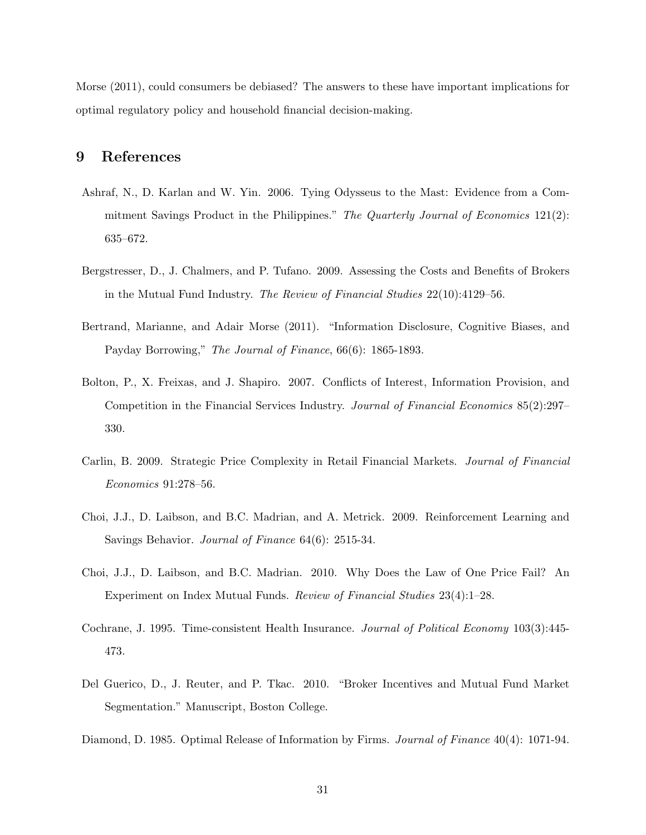Morse (2011), could consumers be debiased? The answers to these have important implications for optimal regulatory policy and household financial decision-making.

## 9 References

- Ashraf, N., D. Karlan and W. Yin. 2006. Tying Odysseus to the Mast: Evidence from a Commitment Savings Product in the Philippines." The Quarterly Journal of Economics  $121(2)$ : 635–672.
- Bergstresser, D., J. Chalmers, and P. Tufano. 2009. Assessing the Costs and Benefits of Brokers in the Mutual Fund Industry. The Review of Financial Studies 22(10):4129–56.
- Bertrand, Marianne, and Adair Morse (2011). "Information Disclosure, Cognitive Biases, and Payday Borrowing," The Journal of Finance, 66(6): 1865-1893.
- Bolton, P., X. Freixas, and J. Shapiro. 2007. Conflicts of Interest, Information Provision, and Competition in the Financial Services Industry. Journal of Financial Economics 85(2):297– 330.
- Carlin, B. 2009. Strategic Price Complexity in Retail Financial Markets. Journal of Financial Economics 91:278–56.
- Choi, J.J., D. Laibson, and B.C. Madrian, and A. Metrick. 2009. Reinforcement Learning and Savings Behavior. Journal of Finance 64(6): 2515-34.
- Choi, J.J., D. Laibson, and B.C. Madrian. 2010. Why Does the Law of One Price Fail? An Experiment on Index Mutual Funds. Review of Financial Studies 23(4):1–28.
- Cochrane, J. 1995. Time-consistent Health Insurance. *Journal of Political Economy* 103(3):445-473.
- Del Guerico, D., J. Reuter, and P. Tkac. 2010. "Broker Incentives and Mutual Fund Market Segmentation." Manuscript, Boston College.
- Diamond, D. 1985. Optimal Release of Information by Firms. *Journal of Finance* 40(4): 1071-94.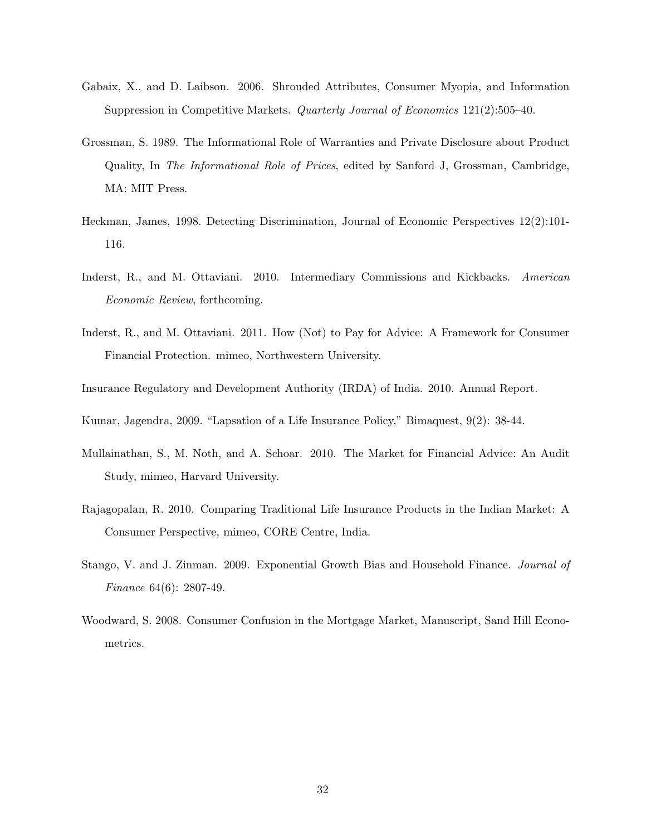- Gabaix, X., and D. Laibson. 2006. Shrouded Attributes, Consumer Myopia, and Information Suppression in Competitive Markets. Quarterly Journal of Economics 121(2):505–40.
- Grossman, S. 1989. The Informational Role of Warranties and Private Disclosure about Product Quality, In The Informational Role of Prices, edited by Sanford J, Grossman, Cambridge, MA: MIT Press.
- Heckman, James, 1998. Detecting Discrimination, Journal of Economic Perspectives 12(2):101- 116.
- Inderst, R., and M. Ottaviani. 2010. Intermediary Commissions and Kickbacks. American Economic Review, forthcoming.
- Inderst, R., and M. Ottaviani. 2011. How (Not) to Pay for Advice: A Framework for Consumer Financial Protection. mimeo, Northwestern University.
- Insurance Regulatory and Development Authority (IRDA) of India. 2010. Annual Report.
- Kumar, Jagendra, 2009. "Lapsation of a Life Insurance Policy," Bimaquest, 9(2): 38-44.
- Mullainathan, S., M. Noth, and A. Schoar. 2010. The Market for Financial Advice: An Audit Study, mimeo, Harvard University.
- Rajagopalan, R. 2010. Comparing Traditional Life Insurance Products in the Indian Market: A Consumer Perspective, mimeo, CORE Centre, India.
- Stango, V. and J. Zinman. 2009. Exponential Growth Bias and Household Finance. Journal of Finance 64(6): 2807-49.
- Woodward, S. 2008. Consumer Confusion in the Mortgage Market, Manuscript, Sand Hill Econometrics.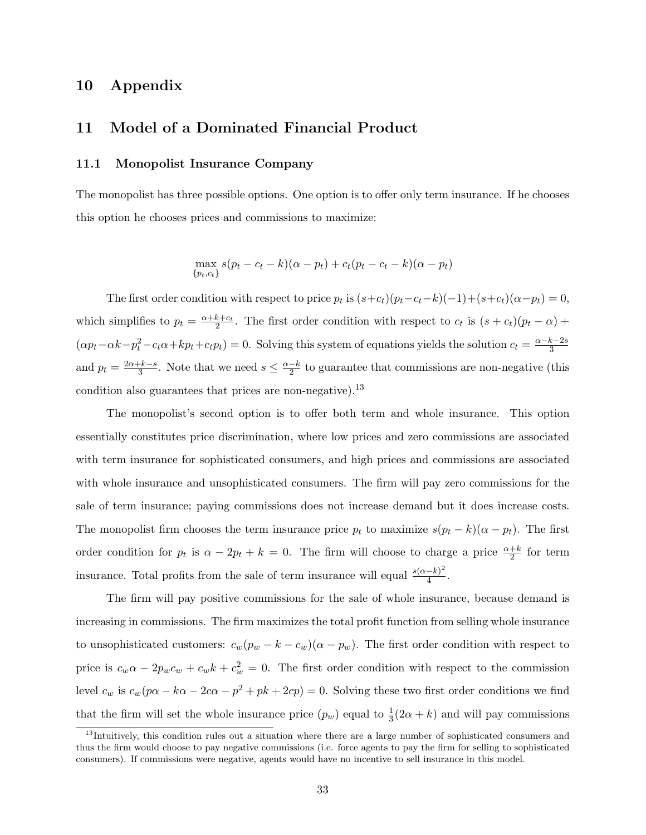## 10 Appendix

## 11 Model of a Dominated Financial Product

### 11.1 Monopolist Insurance Company

The monopolist has three possible options. One option is to offer only term insurance. If he chooses this option he chooses prices and commissions to maximize:

$$
\max_{\{p_t, c_t\}} s(p_t - c_t - k)(\alpha - p_t) + c_t(p_t - c_t - k)(\alpha - p_t)
$$

The first order condition with respect to price  $p_t$  is  $(s+c_t)(p_t-c_t-k)(-1)+(s+c_t)(\alpha-p_t) = 0$ , which simplifies to  $p_t = \frac{\alpha + k + c_t}{2}$ . The first order condition with respect to  $c_t$  is  $(s + c_t)(p_t - \alpha)$  +  $(\alpha p_t - \alpha k - p_t^2 - c_t \alpha + k p_t + c_t p_t) = 0$ . Solving this system of equations yields the solution  $c_t = \frac{\alpha - k - 2s}{3}$ 3 and  $p_t = \frac{2\alpha + k - s}{3}$  $\frac{-k-s}{3}$ . Note that we need  $s \leq \frac{\alpha-k}{2}$  $\frac{-k}{2}$  to guarantee that commissions are non-negative (this condition also guarantees that prices are non-negative).<sup>13</sup>

The monopolist's second option is to offer both term and whole insurance. This option essentially constitutes price discrimination, where low prices and zero commissions are associated with term insurance for sophisticated consumers, and high prices and commissions are associated with whole insurance and unsophisticated consumers. The firm will pay zero commissions for the sale of term insurance; paying commissions does not increase demand but it does increase costs. The monopolist firm chooses the term insurance price  $p_t$  to maximize  $s(p_t - k)(\alpha - p_t)$ . The first order condition for  $p_t$  is  $\alpha - 2p_t + k = 0$ . The firm will choose to charge a price  $\frac{\alpha+k}{2}$  for term insurance. Total profits from the sale of term insurance will equal  $\frac{s(\alpha-k)^2}{4}$  $\frac{-\kappa)^2}{4}$ .

The firm will pay positive commissions for the sale of whole insurance, because demand is increasing in commissions. The firm maximizes the total profit function from selling whole insurance to unsophisticated customers:  $c_w(p_w - k - c_w)(\alpha - p_w)$ . The first order condition with respect to price is  $c_w \alpha - 2p_w c_w + c_w k + c_w^2 = 0$ . The first order condition with respect to the commission level  $c_w$  is  $c_w(p\alpha - k\alpha - 2c\alpha - p^2 + pk + 2cp) = 0$ . Solving these two first order conditions we find that the firm will set the whole insurance price  $(p_w)$  equal to  $\frac{1}{3}(2\alpha + k)$  and will pay commissions

<sup>&</sup>lt;sup>13</sup>Intuitively, this condition rules out a situation where there are a large number of sophisticated consumers and thus the firm would choose to pay negative commissions (i.e. force agents to pay the firm for selling to sophisticated consumers). If commissions were negative, agents would have no incentive to sell insurance in this model.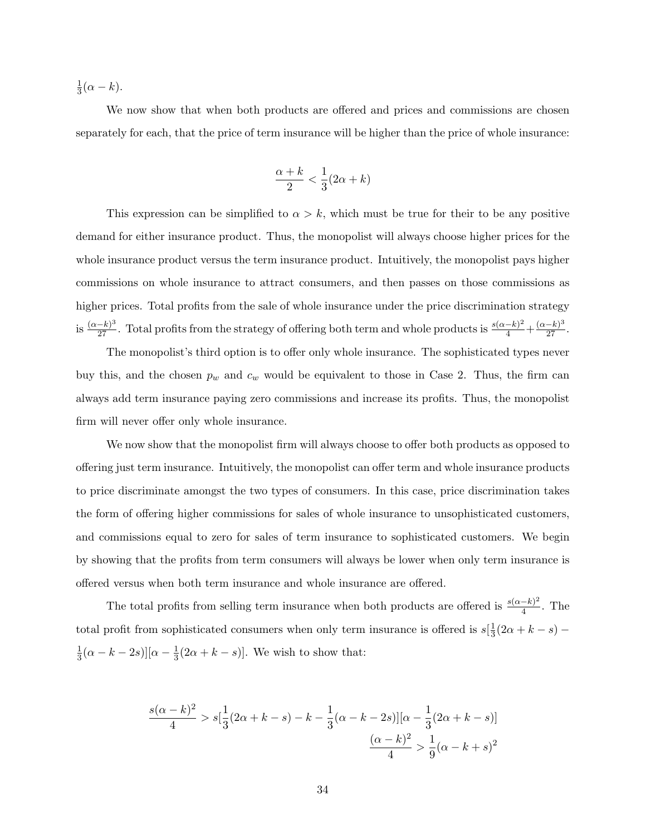1  $\frac{1}{3}(\alpha - k).$ 

We now show that when both products are offered and prices and commissions are chosen separately for each, that the price of term insurance will be higher than the price of whole insurance:

$$
\frac{\alpha+k}{2} < \frac{1}{3}(2\alpha+k)
$$

This expression can be simplified to  $\alpha > k$ , which must be true for their to be any positive demand for either insurance product. Thus, the monopolist will always choose higher prices for the whole insurance product versus the term insurance product. Intuitively, the monopolist pays higher commissions on whole insurance to attract consumers, and then passes on those commissions as higher prices. Total profits from the sale of whole insurance under the price discrimination strategy is  $\frac{(\alpha-k)^3}{27}$ . Total profits from the strategy of offering both term and whole products is  $\frac{s(\alpha-k)^2}{4} + \frac{(\alpha-k)^3}{27}$ .

The monopolist's third option is to offer only whole insurance. The sophisticated types never buy this, and the chosen  $p_w$  and  $c_w$  would be equivalent to those in Case 2. Thus, the firm can always add term insurance paying zero commissions and increase its profits. Thus, the monopolist firm will never offer only whole insurance.

We now show that the monopolist firm will always choose to offer both products as opposed to offering just term insurance. Intuitively, the monopolist can offer term and whole insurance products to price discriminate amongst the two types of consumers. In this case, price discrimination takes the form of offering higher commissions for sales of whole insurance to unsophisticated customers, and commissions equal to zero for sales of term insurance to sophisticated customers. We begin by showing that the profits from term consumers will always be lower when only term insurance is offered versus when both term insurance and whole insurance are offered.

The total profits from selling term insurance when both products are offered is  $\frac{s(\alpha-k)^2}{4}$  $\frac{-\kappa}{4}$ . The total profit from sophisticated consumers when only term insurance is offered is  $s\left[\frac{1}{3}\right]$  $\frac{1}{3}(2\alpha + k - s) -$ 1  $\frac{1}{3}(\alpha - k - 2s)][\alpha - \frac{1}{3}]$  $\frac{1}{3}(2\alpha + k - s)$ . We wish to show that:

$$
\frac{s(\alpha - k)^2}{4} > s[\frac{1}{3}(2\alpha + k - s) - k - \frac{1}{3}(\alpha - k - 2s)][\alpha - \frac{1}{3}(2\alpha + k - s)]
$$

$$
\frac{(\alpha - k)^2}{4} > \frac{1}{9}(\alpha - k + s)^2
$$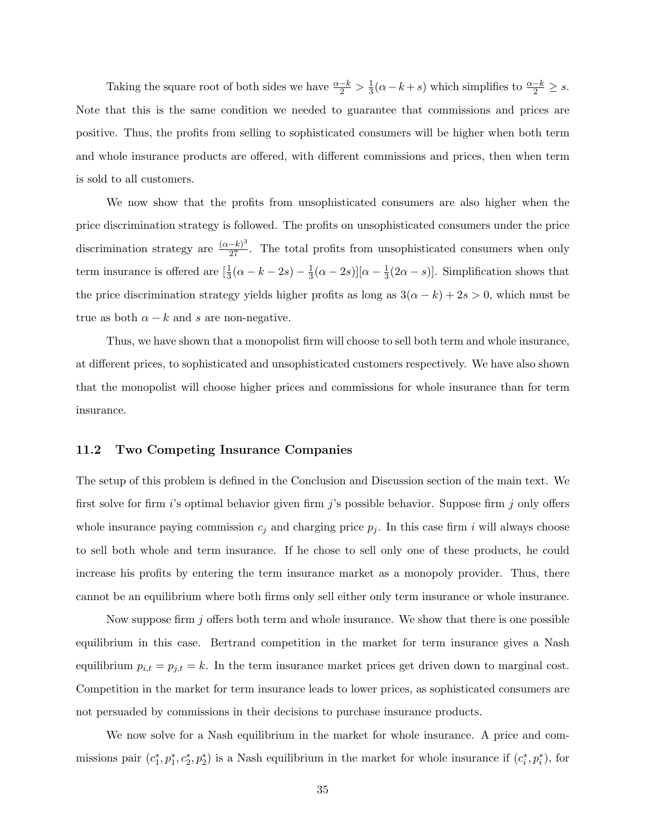Taking the square root of both sides we have  $\frac{\alpha-k}{2} > \frac{1}{3}$  $\frac{1}{3}(\alpha - k + s)$  which simplifies to  $\frac{\alpha - k}{2} \geq s$ . Note that this is the same condition we needed to guarantee that commissions and prices are positive. Thus, the profits from selling to sophisticated consumers will be higher when both term and whole insurance products are offered, with different commissions and prices, then when term is sold to all customers.

We now show that the profits from unsophisticated consumers are also higher when the price discrimination strategy is followed. The profits on unsophisticated consumers under the price discrimination strategy are  $\frac{(\alpha-k)^3}{27}$ . The total profits from unsophisticated consumers when only term insurance is offered are  $\left[\frac{1}{3}(\alpha - k - 2s) - \frac{1}{3}\right]$  $\frac{1}{3}(\alpha - 2s)$ ][ $\alpha - \frac{1}{3}$  $\frac{1}{3}(2\alpha - s)$ . Simplification shows that the price discrimination strategy yields higher profits as long as  $3(\alpha - k) + 2s > 0$ , which must be true as both  $\alpha - k$  and s are non-negative.

Thus, we have shown that a monopolist firm will choose to sell both term and whole insurance, at different prices, to sophisticated and unsophisticated customers respectively. We have also shown that the monopolist will choose higher prices and commissions for whole insurance than for term insurance.

#### 11.2 Two Competing Insurance Companies

The setup of this problem is defined in the Conclusion and Discussion section of the main text. We first solve for firm  $i$ 's optimal behavior given firm  $j$ 's possible behavior. Suppose firm  $j$  only offers whole insurance paying commission  $c_j$  and charging price  $p_j$ . In this case firm i will always choose to sell both whole and term insurance. If he chose to sell only one of these products, he could increase his profits by entering the term insurance market as a monopoly provider. Thus, there cannot be an equilibrium where both firms only sell either only term insurance or whole insurance.

Now suppose firm j offers both term and whole insurance. We show that there is one possible equilibrium in this case. Bertrand competition in the market for term insurance gives a Nash equilibrium  $p_{i,t} = p_{j,t} = k$ . In the term insurance market prices get driven down to marginal cost. Competition in the market for term insurance leads to lower prices, as sophisticated consumers are not persuaded by commissions in their decisions to purchase insurance products.

We now solve for a Nash equilibrium in the market for whole insurance. A price and commissions pair  $(c_1^*, p_1^*, c_2^*, p_2^*)$  is a Nash equilibrium in the market for whole insurance if  $(c_i^*, p_i^*)$ , for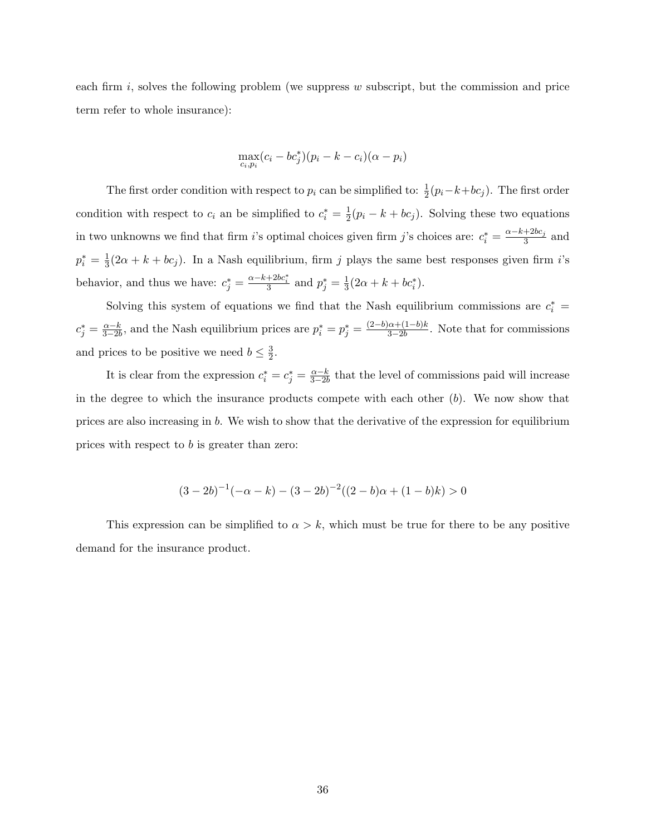each firm  $i$ , solves the following problem (we suppress  $w$  subscript, but the commission and price term refer to whole insurance):

$$
\max_{c_i, p_i} (c_i - bc_j^*)(p_i - k - c_i)(\alpha - p_i)
$$

The first order condition with respect to  $p_i$  can be simplified to:  $\frac{1}{2}(p_i-k+bc_j)$ . The first order condition with respect to  $c_i$  an be simplified to  $c_i^* = \frac{1}{2}$  $\frac{1}{2}(p_i - k + bc_j)$ . Solving these two equations in two unknowns we find that firm *i*'s optimal choices given firm *j*'s choices are:  $c_i^* = \frac{\alpha - k + 2bc_j}{3}$  $rac{+2\nu c_j}{3}$  and  $p_i^* = \frac{1}{3}$  $\frac{1}{3}(2\alpha + k + bc_j)$ . In a Nash equilibrium, firm j plays the same best responses given firm i's behavior, and thus we have:  $c_j^* = \frac{\alpha - k + 2bc_i^*}{3}$  and  $p_j^* = \frac{1}{3}$  $\frac{1}{3}(2\alpha + k + bc_i^*).$ 

Solving this system of equations we find that the Nash equilibrium commissions are  $c_i^*$  =  $c_j^* = \frac{\alpha - k}{3 - 2k}$  $\frac{\alpha-k}{3-2b}$ , and the Nash equilibrium prices are  $p_i^* = p_j^* = \frac{(2-b)\alpha+(1-b)k}{3-2b}$  $\frac{\alpha + (1 - \theta)\kappa}{3 - 2b}$ . Note that for commissions and prices to be positive we need  $b \leq \frac{3}{2}$  $\frac{3}{2}$ .

It is clear from the expression  $c_i^* = c_j^* = \frac{\alpha - k}{3 - 2l}$  $\frac{\alpha - k}{3 - 2b}$  that the level of commissions paid will increase in the degree to which the insurance products compete with each other  $(b)$ . We now show that prices are also increasing in b. We wish to show that the derivative of the expression for equilibrium prices with respect to b is greater than zero:

$$
(3-2b)^{-1}(-\alpha - k) - (3-2b)^{-2}((2-b)\alpha + (1-b)k) > 0
$$

This expression can be simplified to  $\alpha > k$ , which must be true for there to be any positive demand for the insurance product.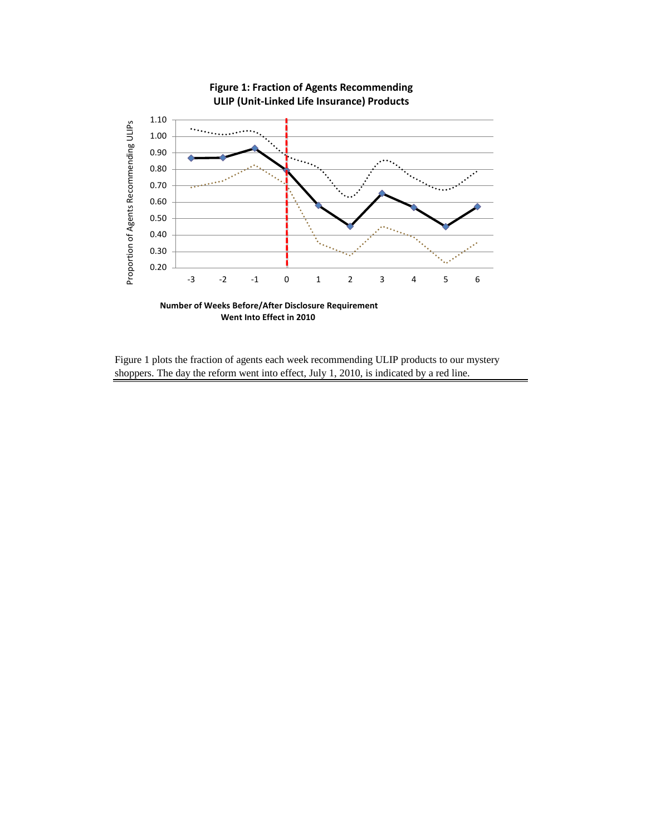

Figure 1 plots the fraction of agents each week recommending ULIP products to our mystery shoppers. The day the reform went into effect, July 1, 2010, is indicated by a red line.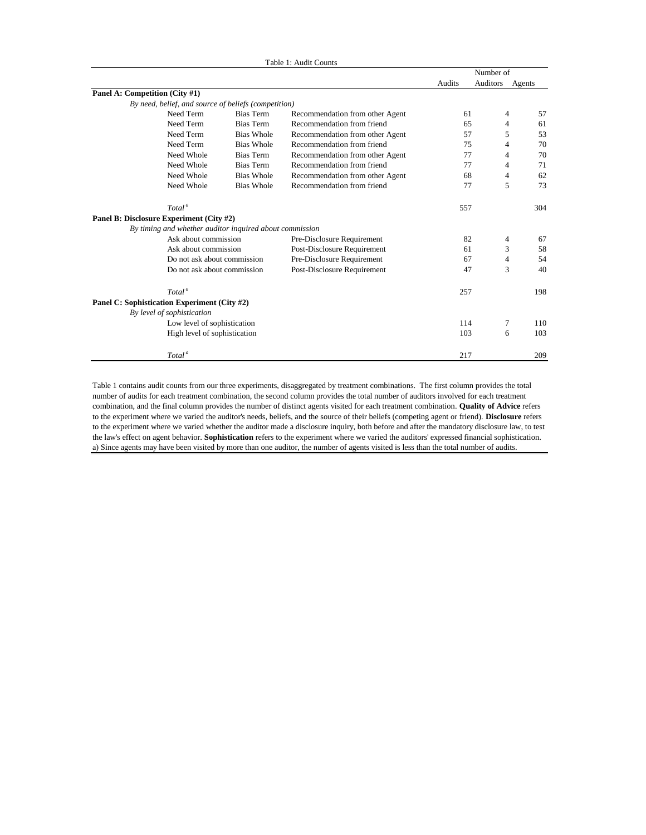|                                              |                                                         |                   | Table 1: Audit Counts           |        |           |        |
|----------------------------------------------|---------------------------------------------------------|-------------------|---------------------------------|--------|-----------|--------|
|                                              |                                                         |                   |                                 |        | Number of |        |
|                                              |                                                         |                   |                                 | Audits | Auditors  | Agents |
| Panel A: Competition (City #1)               |                                                         |                   |                                 |        |           |        |
|                                              | By need, belief, and source of beliefs (competition)    |                   |                                 |        |           |        |
|                                              | Need Term                                               | <b>Bias Term</b>  | Recommendation from other Agent | 61     | 4         | 57     |
|                                              | Need Term                                               | Bias Term         | Recommendation from friend      | 65     | 4         | 61     |
|                                              | Need Term                                               | <b>Bias Whole</b> | Recommendation from other Agent | 57     | 5         | 53     |
|                                              | Need Term                                               | <b>Bias Whole</b> | Recommendation from friend      | 75     | 4         | 70     |
|                                              | Need Whole                                              | <b>Bias Term</b>  | Recommendation from other Agent | 77     | 4         | 70     |
|                                              | Need Whole                                              | Bias Term         | Recommendation from friend      | 77     | 4         | 71     |
|                                              | Need Whole                                              | <b>Bias Whole</b> | Recommendation from other Agent | 68     | 4         | 62     |
|                                              | Need Whole                                              | <b>Bias Whole</b> | Recommendation from friend      | 77     | 5         | 73     |
|                                              | Total <sup>a</sup>                                      |                   |                                 | 557    |           | 304    |
| Panel B: Disclosure Experiment (City #2)     |                                                         |                   |                                 |        |           |        |
|                                              | By timing and whether auditor inquired about commission |                   |                                 |        |           |        |
|                                              | Ask about commission                                    |                   | Pre-Disclosure Requirement      | 82     | 4         | 67     |
|                                              | Ask about commission                                    |                   | Post-Disclosure Requirement     | 61     | 3         | 58     |
|                                              | Do not ask about commission                             |                   | Pre-Disclosure Requirement      | 67     | 4         | 54     |
|                                              | Do not ask about commission                             |                   | Post-Disclosure Requirement     | 47     | 3         | 40     |
|                                              | Total <sup>a</sup>                                      |                   |                                 | 257    |           | 198    |
| Panel C: Sophistication Experiment (City #2) |                                                         |                   |                                 |        |           |        |
|                                              | By level of sophistication                              |                   |                                 |        |           |        |
|                                              | Low level of sophistication                             |                   |                                 | 114    | 7         | 110    |
|                                              | High level of sophistication                            |                   |                                 | 103    | 6         | 103    |
|                                              | Total <sup>a</sup>                                      |                   |                                 | 217    |           | 209    |

Table 1 contains audit counts from our three experiments, disaggregated by treatment combinations. The first column provides the total number of audits for each treatment combination, the second column provides the total number of auditors involved for each treatment combination, and the final column provides the number of distinct agents visited for each treatment combination. **Quality of Advice** refers to the experiment where we varied the auditor's needs, beliefs, and the source of their beliefs (competing agent or friend). **Disclosure** refers to the experiment where we varied whether the auditor made a disclosure inquiry, both before and after the mandatory disclosure law, to test the law's effect on agent behavior. **Sophistication** refers to the experiment where we varied the auditors' expressed financial sophistication. a) Since agents may have been visited by more than one auditor, the number of agents visited is less than the total number of audits.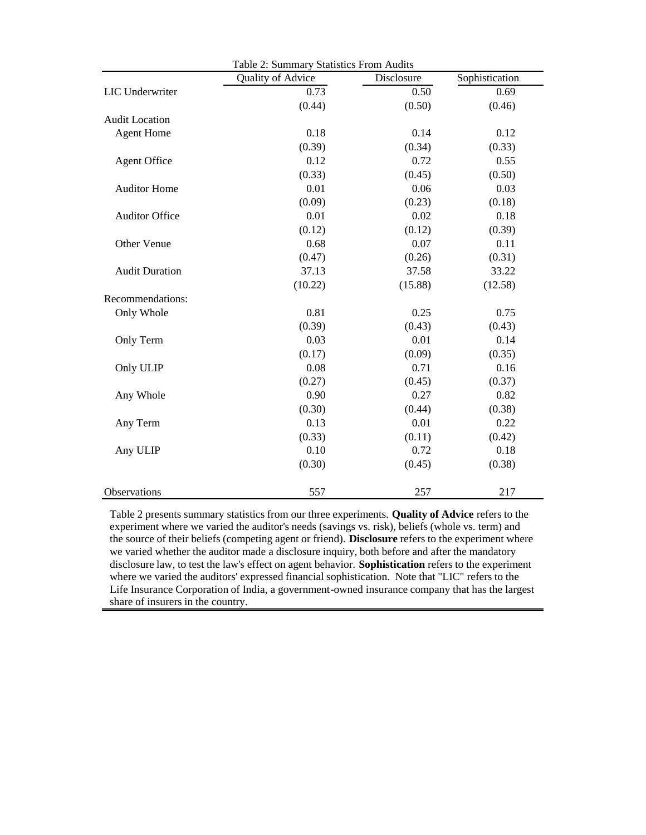|                       | Table 2: Summary Statistics From Audits |            |                |  |  |  |
|-----------------------|-----------------------------------------|------------|----------------|--|--|--|
|                       | Quality of Advice                       | Disclosure | Sophistication |  |  |  |
| LIC Underwriter       | 0.73                                    | 0.50       | 0.69           |  |  |  |
|                       | (0.44)                                  | (0.50)     | (0.46)         |  |  |  |
| <b>Audit Location</b> |                                         |            |                |  |  |  |
| <b>Agent Home</b>     | 0.18                                    | 0.14       | 0.12           |  |  |  |
|                       | (0.39)                                  | (0.34)     | (0.33)         |  |  |  |
| <b>Agent Office</b>   | 0.12                                    | 0.72       | 0.55           |  |  |  |
|                       | (0.33)                                  | (0.45)     | (0.50)         |  |  |  |
| <b>Auditor Home</b>   | 0.01                                    | 0.06       | 0.03           |  |  |  |
|                       | (0.09)                                  | (0.23)     | (0.18)         |  |  |  |
| <b>Auditor Office</b> | 0.01                                    | 0.02       | 0.18           |  |  |  |
|                       | (0.12)                                  | (0.12)     | (0.39)         |  |  |  |
| Other Venue           | 0.68                                    | 0.07       | 0.11           |  |  |  |
|                       | (0.47)                                  | (0.26)     | (0.31)         |  |  |  |
| <b>Audit Duration</b> | 37.13                                   | 37.58      | 33.22          |  |  |  |
|                       | (10.22)                                 | (15.88)    | (12.58)        |  |  |  |
| Recommendations:      |                                         |            |                |  |  |  |
| Only Whole            | 0.81                                    | 0.25       | 0.75           |  |  |  |
|                       | (0.39)                                  | (0.43)     | (0.43)         |  |  |  |
| Only Term             | 0.03                                    | 0.01       | 0.14           |  |  |  |
|                       | (0.17)                                  | (0.09)     | (0.35)         |  |  |  |
| Only ULIP             | 0.08                                    | 0.71       | 0.16           |  |  |  |
|                       | (0.27)                                  | (0.45)     | (0.37)         |  |  |  |
| Any Whole             | 0.90                                    | 0.27       | 0.82           |  |  |  |
|                       | (0.30)                                  | (0.44)     | (0.38)         |  |  |  |
| Any Term              | 0.13                                    | 0.01       | 0.22           |  |  |  |
|                       | (0.33)                                  | (0.11)     | (0.42)         |  |  |  |
| Any ULIP              | 0.10                                    | 0.72       | 0.18           |  |  |  |
|                       | (0.30)                                  | (0.45)     | (0.38)         |  |  |  |
| Observations          | 557                                     | 257        | 217            |  |  |  |

Table 2 presents summary statistics from our three experiments. **Quality of Advice** refers to the experiment where we varied the auditor's needs (savings vs. risk), beliefs (whole vs. term) and the source of their beliefs (competing agent or friend). **Disclosure** refers to the experiment where we varied whether the auditor made a disclosure inquiry, both before and after the mandatory disclosure law, to test the law's effect on agent behavior. **Sophistication** refers to the experiment where we varied the auditors' expressed financial sophistication. Note that "LIC" refers to the Life Insurance Corporation of India, a government-owned insurance company that has the largest share of insurers in the country.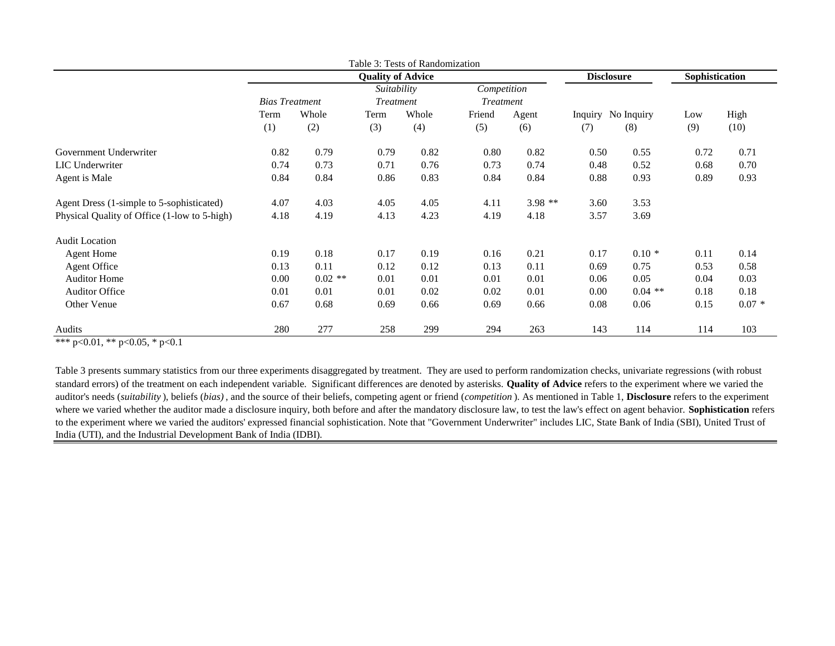|                                              |                       |           |                          | Table 3: Tests of Randomization |                  |          |      |                    |                |         |
|----------------------------------------------|-----------------------|-----------|--------------------------|---------------------------------|------------------|----------|------|--------------------|----------------|---------|
|                                              |                       |           | <b>Quality of Advice</b> |                                 |                  |          |      | <b>Disclosure</b>  | Sophistication |         |
|                                              |                       |           | Suitability              |                                 | Competition      |          |      |                    |                |         |
|                                              | <b>Bias Treatment</b> |           | <b>Treatment</b>         |                                 | <b>Treatment</b> |          |      |                    |                |         |
|                                              | Term                  | Whole     | Term                     | Whole                           | Friend           | Agent    |      | Inquiry No Inquiry | Low            | High    |
|                                              | (1)                   | (2)       | (3)                      | (4)                             | (5)              | (6)      | (7)  | (8)                | (9)            | (10)    |
| Government Underwriter                       | 0.82                  | 0.79      | 0.79                     | 0.82                            | 0.80             | 0.82     | 0.50 | 0.55               | 0.72           | 0.71    |
| <b>LIC</b> Underwriter                       | 0.74                  | 0.73      | 0.71                     | 0.76                            | 0.73             | 0.74     | 0.48 | 0.52               | 0.68           | 0.70    |
| Agent is Male                                | 0.84                  | 0.84      | 0.86                     | 0.83                            | 0.84             | 0.84     | 0.88 | 0.93               | 0.89           | 0.93    |
| Agent Dress (1-simple to 5-sophisticated)    | 4.07                  | 4.03      | 4.05                     | 4.05                            | 4.11             | $3.98**$ | 3.60 | 3.53               |                |         |
| Physical Quality of Office (1-low to 5-high) | 4.18                  | 4.19      | 4.13                     | 4.23                            | 4.19             | 4.18     | 3.57 | 3.69               |                |         |
| <b>Audit Location</b>                        |                       |           |                          |                                 |                  |          |      |                    |                |         |
| <b>Agent Home</b>                            | 0.19                  | 0.18      | 0.17                     | 0.19                            | 0.16             | 0.21     | 0.17 | $0.10*$            | 0.11           | 0.14    |
| <b>Agent Office</b>                          | 0.13                  | 0.11      | 0.12                     | 0.12                            | 0.13             | 0.11     | 0.69 | 0.75               | 0.53           | 0.58    |
| <b>Auditor Home</b>                          | 0.00                  | $0.02$ ** | 0.01                     | 0.01                            | 0.01             | 0.01     | 0.06 | 0.05               | 0.04           | 0.03    |
| <b>Auditor Office</b>                        | 0.01                  | 0.01      | 0.01                     | 0.02                            | 0.02             | 0.01     | 0.00 | $0.04$ **          | 0.18           | 0.18    |
| Other Venue                                  | 0.67                  | 0.68      | 0.69                     | 0.66                            | 0.69             | 0.66     | 0.08 | 0.06               | 0.15           | $0.07*$ |
| Audits                                       | 280                   | 277       | 258                      | 299                             | 294              | 263      | 143  | 114                | 114            | 103     |

\*\*\* p<0.01, \*\* p<0.05, \* p<0.1

Table 3 presents summary statistics from our three experiments disaggregated by treatment. They are used to perform randomization checks, univariate regressions (with robust standard errors) of the treatment on each independent variable. Significant differences are denoted by asterisks. **Quality of Advice** refers to the experiment where we varied the auditor's needs (*suitability* ), beliefs (*bias)* , and the source of their beliefs, competing agent or friend (*competition* ). As mentioned in Table 1, **Disclosure** refers to the experiment where we varied whether the auditor made a disclosure inquiry, both before and after the mandatory disclosure law, to test the law's effect on agent behavior. **Sophistication** refers to the experiment where we varied the auditors' expressed financial sophistication. Note that "Government Underwriter" includes LIC, State Bank of India (SBI), United Trust of India (UTI), and the Industrial Development Bank of India (IDBI).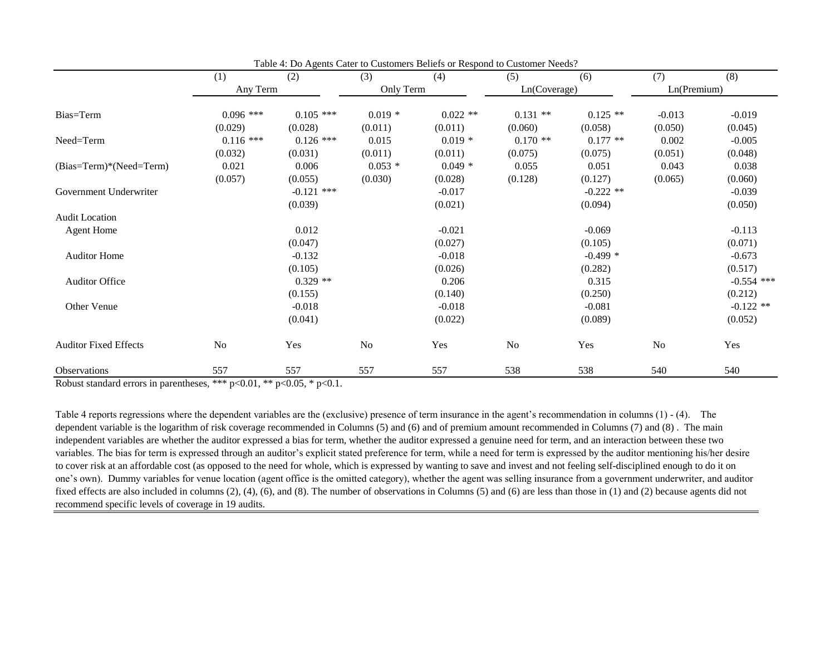|                              | (1)            | (2)          | (3)       | (4)        | (5)          | (6)         | (7)         | (8)          |
|------------------------------|----------------|--------------|-----------|------------|--------------|-------------|-------------|--------------|
|                              | Any Term       |              | Only Term |            | Ln(Coverage) |             | Ln(Premium) |              |
| Bias=Term                    | $0.096$ ***    | $0.105$ ***  | $0.019*$  | $0.022$ ** | $0.131$ **   | $0.125$ **  | $-0.013$    | $-0.019$     |
|                              | (0.029)        | (0.028)      | (0.011)   | (0.011)    | (0.060)      | (0.058)     | (0.050)     | (0.045)      |
| Need=Term                    | $0.116$ ***    | $0.126$ ***  | 0.015     | $0.019*$   | $0.170**$    | $0.177**$   | 0.002       | $-0.005$     |
|                              | (0.032)        | (0.031)      | (0.011)   | (0.011)    | (0.075)      | (0.075)     | (0.051)     | (0.048)      |
| (Bias=Term)*(Need=Term)      | 0.021          | 0.006        | $0.053*$  | $0.049*$   | 0.055        | 0.051       | 0.043       | 0.038        |
|                              | (0.057)        | (0.055)      | (0.030)   | (0.028)    | (0.128)      | (0.127)     | (0.065)     | (0.060)      |
| Government Underwriter       |                | $-0.121$ *** |           | $-0.017$   |              | $-0.222$ ** |             | $-0.039$     |
|                              |                | (0.039)      |           | (0.021)    |              | (0.094)     |             | (0.050)      |
| <b>Audit Location</b>        |                |              |           |            |              |             |             |              |
| <b>Agent Home</b>            |                | 0.012        |           | $-0.021$   |              | $-0.069$    |             | $-0.113$     |
|                              |                | (0.047)      |           | (0.027)    |              | (0.105)     |             | (0.071)      |
| <b>Auditor Home</b>          |                | $-0.132$     |           | $-0.018$   |              | $-0.499*$   |             | $-0.673$     |
|                              |                | (0.105)      |           | (0.026)    |              | (0.282)     |             | (0.517)      |
| <b>Auditor Office</b>        |                | $0.329**$    |           | 0.206      |              | 0.315       |             | $-0.554$ *** |
|                              |                | (0.155)      |           | (0.140)    |              | (0.250)     |             | (0.212)      |
| Other Venue                  |                | $-0.018$     |           | $-0.018$   |              | $-0.081$    |             | $-0.122$ **  |
|                              |                | (0.041)      |           | (0.022)    |              | (0.089)     |             | (0.052)      |
| <b>Auditor Fixed Effects</b> | N <sub>o</sub> | Yes          | No        | Yes        | No           | Yes         | No          | Yes          |
| <b>Observations</b>          | 557            | 557          | 557       | 557        | 538          | 538         | 540         | 540          |

Table 4: Do Agents Cater to Customers Beliefs or Respond to Customer Needs?

Robust standard errors in parentheses, \*\*\*  $p<0.01$ , \*\*  $p<0.05$ , \*  $p<0.1$ .

Table 4 reports regressions where the dependent variables are the (exclusive) presence of term insurance in the agent's recommendation in columns (1) - (4). The dependent variable is the logarithm of risk coverage recommended in Columns (5) and (6) and of premium amount recommended in Columns (7) and (8) . The main independent variables are whether the auditor expressed a bias for term, whether the auditor expressed a genuine need for term, and an interaction between these two variables. The bias for term is expressed through an auditor's explicit stated preference for term, while a need for term is expressed by the auditor mentioning his/her desire to cover risk at an affordable cost (as opposed to the need for whole, which is expressed by wanting to save and invest and not feeling self-disciplined enough to do it on one's own). Dummy variables for venue location (agent office is the omitted category), whether the agent was selling insurance from a government underwriter, and auditor fixed effects are also included in columns (2), (4), (6), and (8). The number of observations in Columns (5) and (6) are less than those in (1) and (2) because agents did not recommend specific levels of coverage in 19 audits.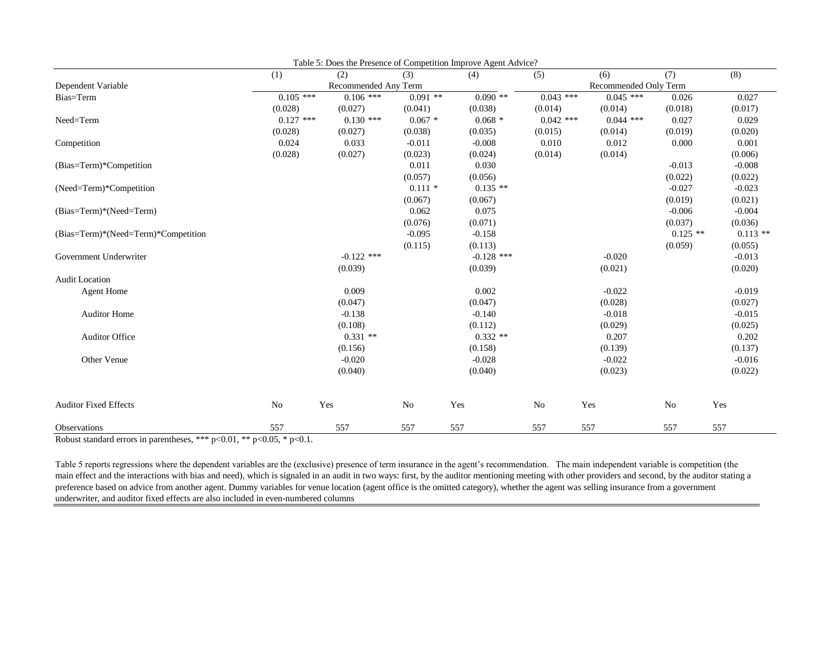|                                     | (1)         | (2)                  | (3)       | (4)          | (5)            | (6)                   | (7)        | (8)        |
|-------------------------------------|-------------|----------------------|-----------|--------------|----------------|-----------------------|------------|------------|
| Dependent Variable                  |             | Recommended Any Term |           |              |                | Recommended Only Term |            |            |
| Bias=Term                           | $0.105***$  | $0.106$ ***          | $0.091**$ | $0.090$ **   | $0.043$ ***    | $0.045$ ***           | 0.026      | 0.027      |
|                                     | (0.028)     | (0.027)              | (0.041)   | (0.038)      | (0.014)        | (0.014)               | (0.018)    | (0.017)    |
| Need=Term                           | $0.127$ *** | $0.130$ ***          | $0.067*$  | $0.068*$     | $0.042$ ***    | $0.044$ ***           | 0.027      | 0.029      |
|                                     | (0.028)     | (0.027)              | (0.038)   | (0.035)      | (0.015)        | (0.014)               | (0.019)    | (0.020)    |
| Competition                         | 0.024       | 0.033                | $-0.011$  | $-0.008$     | 0.010          | 0.012                 | 0.000      | 0.001      |
|                                     | (0.028)     | (0.027)              | (0.023)   | (0.024)      | (0.014)        | (0.014)               |            | (0.006)    |
| (Bias=Term)*Competition             |             |                      | 0.011     | 0.030        |                |                       | $-0.013$   | $-0.008$   |
|                                     |             |                      | (0.057)   | (0.056)      |                |                       | (0.022)    | (0.022)    |
| (Need=Term)*Competition             |             |                      | $0.111*$  | $0.135$ **   |                |                       | $-0.027$   | $-0.023$   |
|                                     |             |                      | (0.067)   | (0.067)      |                |                       | (0.019)    | (0.021)    |
| (Bias=Term)*(Need=Term)             |             |                      | 0.062     | 0.075        |                |                       | $-0.006$   | $-0.004$   |
|                                     |             |                      | (0.076)   | (0.071)      |                |                       | (0.037)    | (0.036)    |
| (Bias=Term)*(Need=Term)*Competition |             |                      | $-0.095$  | $-0.158$     |                |                       | $0.125$ ** | $0.113$ ** |
|                                     |             |                      | (0.115)   | (0.113)      |                |                       | (0.059)    | (0.055)    |
| Government Underwriter              |             | $-0.122$ ***         |           | $-0.128$ *** |                | $-0.020$              |            | $-0.013$   |
|                                     |             | (0.039)              |           | (0.039)      |                | (0.021)               |            | (0.020)    |
| <b>Audit Location</b>               |             |                      |           |              |                |                       |            |            |
| <b>Agent Home</b>                   |             | 0.009                |           | 0.002        |                | $-0.022$              |            | $-0.019$   |
|                                     |             | (0.047)              |           | (0.047)      |                | (0.028)               |            | (0.027)    |
| <b>Auditor Home</b>                 |             | $-0.138$             |           | $-0.140$     |                | $-0.018$              |            | $-0.015$   |
|                                     |             | (0.108)              |           | (0.112)      |                | (0.029)               |            | (0.025)    |
| <b>Auditor Office</b>               |             | $0.331$ **           |           | $0.332**$    |                | 0.207                 |            | 0.202      |
|                                     |             | (0.156)              |           | (0.158)      |                | (0.139)               |            | (0.137)    |
| Other Venue                         |             | $-0.020$             |           | $-0.028$     |                | $-0.022$              |            | $-0.016$   |
|                                     |             | (0.040)              |           | (0.040)      |                | (0.023)               |            | (0.022)    |
| <b>Auditor Fixed Effects</b>        | No          | Yes                  | No        | Yes          | N <sub>o</sub> | Yes                   | No         | Yes        |
| Observations                        | 557         | 557                  | 557       | 557          | 557            | 557                   | 557        | 557        |

Table 5: Does the Presence of Competition Improve Agent Advice?

Robust standard errors in parentheses, \*\*\* p<0.01, \*\* p<0.05, \* p<0.1.

Table 5 reports regressions where the dependent variables are the (exclusive) presence of term insurance in the agent's recommendation. The main independent variable is competition (the main effect and the interactions with bias and need), which is signaled in an audit in two ways: first, by the auditor mentioning meeting with other providers and second, by the auditor stating a preference based on advice from another agent. Dummy variables for venue location (agent office is the omitted category), whether the agent was selling insurance from a government underwriter, and auditor fixed effects are also included in even-numbered columns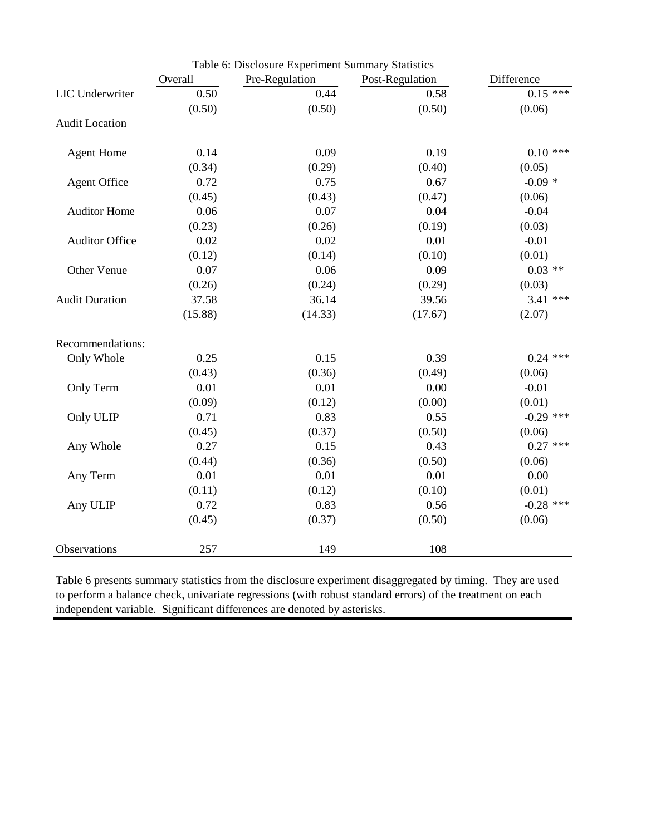| Table 6: Disclosure Experiment Summary Statistics |         |                |                 |             |
|---------------------------------------------------|---------|----------------|-----------------|-------------|
|                                                   | Overall | Pre-Regulation | Post-Regulation | Difference  |
| LIC Underwriter                                   | 0.50    | 0.44           | 0.58            | $0.15$ ***  |
|                                                   | (0.50)  | (0.50)         | (0.50)          | (0.06)      |
| <b>Audit Location</b>                             |         |                |                 |             |
| <b>Agent Home</b>                                 | 0.14    | 0.09           | 0.19            | $0.10$ ***  |
|                                                   | (0.34)  | (0.29)         | (0.40)          | (0.05)      |
| <b>Agent Office</b>                               | 0.72    | 0.75           | 0.67            | $-0.09*$    |
|                                                   | (0.45)  | (0.43)         | (0.47)          | (0.06)      |
| <b>Auditor Home</b>                               | 0.06    | 0.07           | 0.04            | $-0.04$     |
|                                                   | (0.23)  | (0.26)         | (0.19)          | (0.03)      |
| <b>Auditor Office</b>                             | 0.02    | 0.02           | 0.01            | $-0.01$     |
|                                                   | (0.12)  | (0.14)         | (0.10)          | (0.01)      |
| Other Venue                                       | 0.07    | 0.06           | 0.09            | $0.03$ **   |
|                                                   | (0.26)  | (0.24)         | (0.29)          | (0.03)      |
| <b>Audit Duration</b>                             | 37.58   | 36.14          | 39.56           | $3.41$ ***  |
|                                                   | (15.88) | (14.33)        | (17.67)         | (2.07)      |
| Recommendations:                                  |         |                |                 |             |
| Only Whole                                        | 0.25    | 0.15           | 0.39            | $0.24$ ***  |
|                                                   | (0.43)  | (0.36)         | (0.49)          | (0.06)      |
| Only Term                                         | 0.01    | 0.01           | 0.00            | $-0.01$     |
|                                                   | (0.09)  | (0.12)         | (0.00)          | (0.01)      |
| Only ULIP                                         | 0.71    | 0.83           | 0.55            | $-0.29$ *** |
|                                                   | (0.45)  | (0.37)         | (0.50)          | (0.06)      |
| Any Whole                                         | 0.27    | 0.15           | 0.43            | $0.27$ ***  |
|                                                   | (0.44)  | (0.36)         | (0.50)          | (0.06)      |
| Any Term                                          | 0.01    | 0.01           | 0.01            | 0.00        |
|                                                   | (0.11)  | (0.12)         | (0.10)          | (0.01)      |
| Any ULIP                                          | 0.72    | 0.83           | 0.56            | $-0.28$ *** |
|                                                   | (0.45)  | (0.37)         | (0.50)          | (0.06)      |
| Observations                                      | 257     | 149            | 108             |             |

Table 6 presents summary statistics from the disclosure experiment disaggregated by timing. They are used to perform a balance check, univariate regressions (with robust standard errors) of the treatment on each independent variable. Significant differences are denoted by asterisks.

L,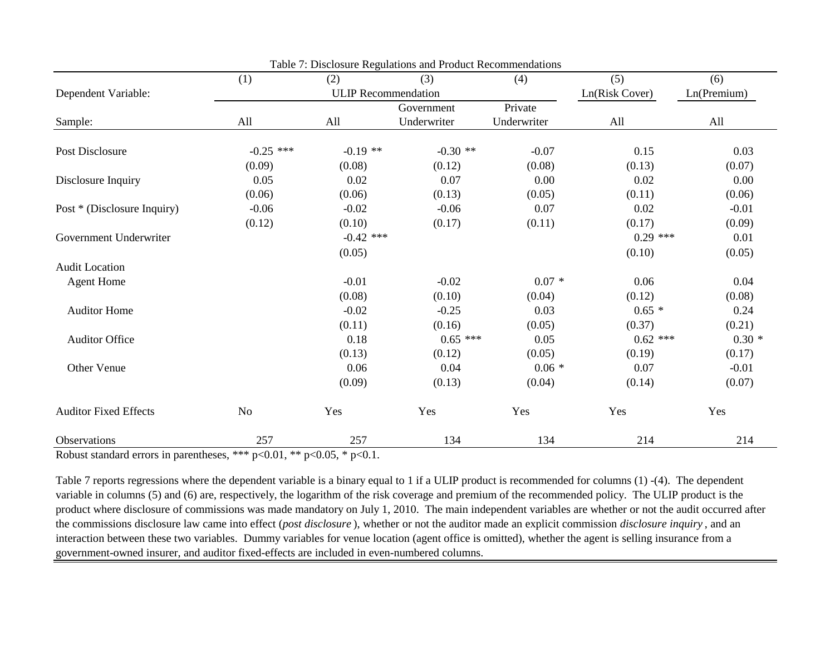|                              | (1)         | (2)                        | (3)         | (4)         | (5)            | (6)         |
|------------------------------|-------------|----------------------------|-------------|-------------|----------------|-------------|
| Dependent Variable:          |             | <b>ULIP</b> Recommendation |             |             | Ln(Risk Cover) | Ln(Premium) |
|                              |             |                            | Government  | Private     |                |             |
| Sample:                      | All         | All                        | Underwriter | Underwriter | All            | All         |
| Post Disclosure              | $-0.25$ *** | $-0.19$ **                 | $-0.30$ **  | $-0.07$     | 0.15           | 0.03        |
|                              | (0.09)      | (0.08)                     | (0.12)      | (0.08)      | (0.13)         | (0.07)      |
| Disclosure Inquiry           | 0.05        | 0.02                       | 0.07        | 0.00        | 0.02           | 0.00        |
|                              | (0.06)      | (0.06)                     | (0.13)      | (0.05)      | (0.11)         | (0.06)      |
| Post * (Disclosure Inquiry)  | $-0.06$     | $-0.02$                    | $-0.06$     | 0.07        | 0.02           | $-0.01$     |
|                              | (0.12)      | (0.10)                     | (0.17)      | (0.11)      | (0.17)         | (0.09)      |
| Government Underwriter       |             | $-0.42$ ***                |             |             | $0.29$ ***     | 0.01        |
|                              |             | (0.05)                     |             |             | (0.10)         | (0.05)      |
| <b>Audit Location</b>        |             |                            |             |             |                |             |
| <b>Agent Home</b>            |             | $-0.01$                    | $-0.02$     | $0.07 *$    | 0.06           | 0.04        |
|                              |             | (0.08)                     | (0.10)      | (0.04)      | (0.12)         | (0.08)      |
| <b>Auditor Home</b>          |             | $-0.02$                    | $-0.25$     | 0.03        | $0.65 *$       | 0.24        |
|                              |             | (0.11)                     | (0.16)      | (0.05)      | (0.37)         | (0.21)      |
| <b>Auditor Office</b>        |             | 0.18                       | $0.65$ ***  | 0.05        | $0.62$ ***     | $0.30*$     |
|                              |             | (0.13)                     | (0.12)      | (0.05)      | (0.19)         | (0.17)      |
| Other Venue                  |             | 0.06                       | 0.04        | $0.06*$     | 0.07           | $-0.01$     |
|                              |             | (0.09)                     | (0.13)      | (0.04)      | (0.14)         | (0.07)      |
| <b>Auditor Fixed Effects</b> | No          | Yes                        | Yes         | Yes         | Yes            | Yes         |
| Observations                 | 257         | 257                        | 134         | 134         | 214            | 214         |

Table 7: Disclosure Regulations and Product Recommendations

Robust standard errors in parentheses, \*\*\*  $p<0.01$ , \*\*  $p<0.05$ , \*  $p<0.1$ .

Table 7 reports regressions where the dependent variable is a binary equal to 1 if a ULIP product is recommended for columns (1) -(4). The dependent variable in columns (5) and (6) are, respectively, the logarithm of the risk coverage and premium of the recommended policy. The ULIP product is the product where disclosure of commissions was made mandatory on July 1, 2010. The main independent variables are whether or not the audit occurred after the commissions disclosure law came into effect (*post disclosure* ), whether or not the auditor made an explicit commission *disclosure inquiry* , and an interaction between these two variables. Dummy variables for venue location (agent office is omitted), whether the agent is selling insurance from a government-owned insurer, and auditor fixed-effects are included in even-numbered columns.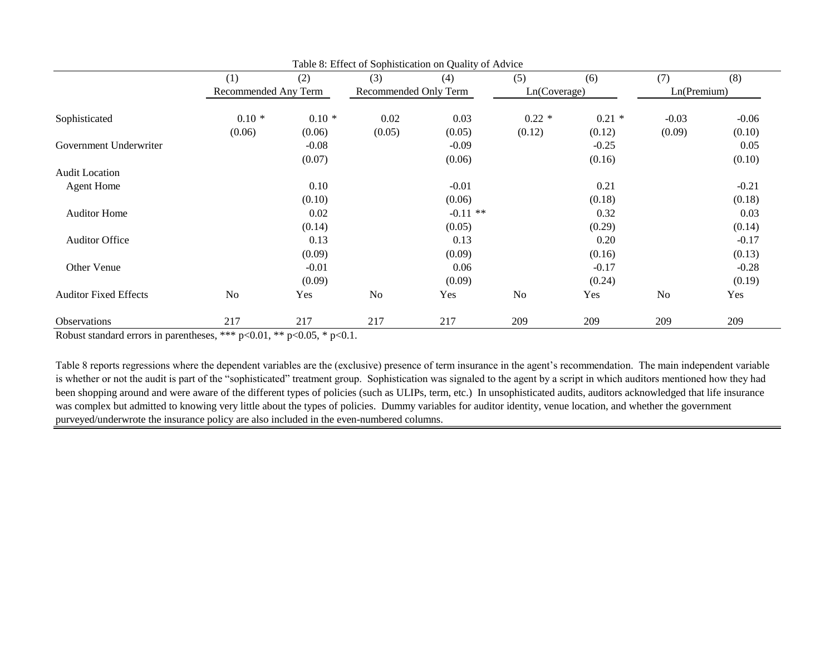|                              | (1)                  | (2)     | (3)                   | (4)        | (5)            | (6)      | (7)         | (8)     |
|------------------------------|----------------------|---------|-----------------------|------------|----------------|----------|-------------|---------|
|                              | Recommended Any Term |         | Recommended Only Term |            | Ln(Coverage)   |          | Ln(Premium) |         |
| Sophisticated                | $0.10*$              | $0.10*$ | 0.02                  | 0.03       | $0.22*$        | $0.21 *$ | $-0.03$     | $-0.06$ |
|                              | (0.06)               | (0.06)  | (0.05)                | (0.05)     | (0.12)         | (0.12)   | (0.09)      | (0.10)  |
| Government Underwriter       |                      | $-0.08$ |                       | $-0.09$    |                | $-0.25$  |             | 0.05    |
|                              |                      | (0.07)  |                       | (0.06)     |                | (0.16)   |             | (0.10)  |
| <b>Audit Location</b>        |                      |         |                       |            |                |          |             |         |
| <b>Agent Home</b>            |                      | 0.10    |                       | $-0.01$    |                | 0.21     |             | $-0.21$ |
|                              |                      | (0.10)  |                       | (0.06)     |                | (0.18)   |             | (0.18)  |
| <b>Auditor Home</b>          |                      | 0.02    |                       | $-0.11$ ** |                | 0.32     |             | 0.03    |
|                              |                      | (0.14)  |                       | (0.05)     |                | (0.29)   |             | (0.14)  |
| <b>Auditor Office</b>        |                      | 0.13    |                       | 0.13       |                | 0.20     |             | $-0.17$ |
|                              |                      | (0.09)  |                       | (0.09)     |                | (0.16)   |             | (0.13)  |
| Other Venue                  |                      | $-0.01$ |                       | 0.06       |                | $-0.17$  |             | $-0.28$ |
|                              |                      | (0.09)  |                       | (0.09)     |                | (0.24)   |             | (0.19)  |
| <b>Auditor Fixed Effects</b> | N <sub>o</sub>       | Yes     | N <sub>o</sub>        | Yes        | N <sub>o</sub> | Yes      | No          | Yes     |
| Observations                 | 217                  | 217     | 217                   | 217        | 209            | 209      | 209         | 209     |

Robust standard errors in parentheses, \*\*\*  $p<0.01$ , \*\*  $p<0.05$ , \*  $p<0.1$ .

Table 8 reports regressions where the dependent variables are the (exclusive) presence of term insurance in the agent's recommendation. The main independent variable is whether or not the audit is part of the "sophisticated" treatment group. Sophistication was signaled to the agent by a script in which auditors mentioned how they had been shopping around and were aware of the different types of policies (such as ULIPs, term, etc.) In unsophisticated audits, auditors acknowledged that life insurance was complex but admitted to knowing very little about the types of policies. Dummy variables for auditor identity, venue location, and whether the government purveyed/underwrote the insurance policy are also included in the even-numbered columns.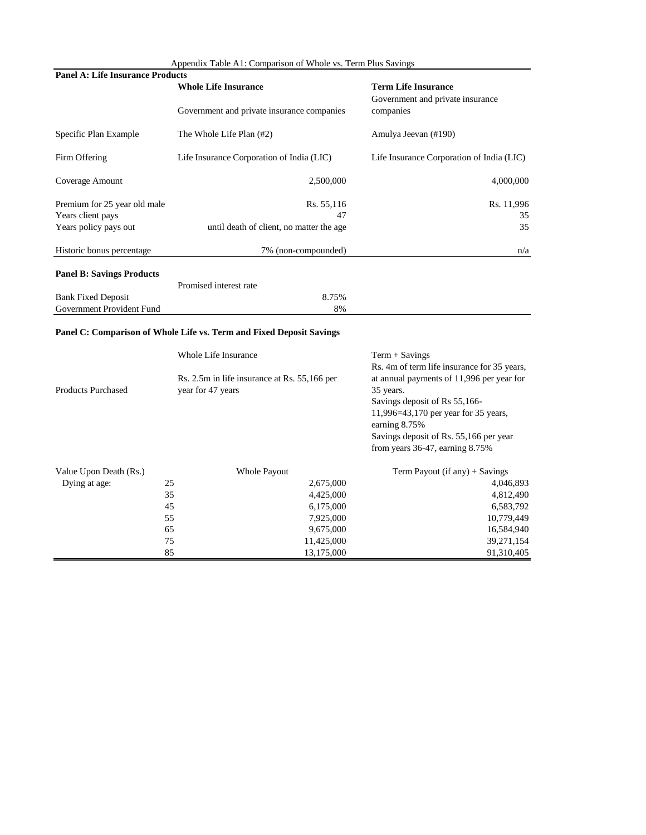|                                         | Appendix Table A1: Comparison of Whole vs. Term Plus Savings |                                               |  |  |
|-----------------------------------------|--------------------------------------------------------------|-----------------------------------------------|--|--|
| <b>Panel A: Life Insurance Products</b> |                                                              |                                               |  |  |
|                                         | <b>Whole Life Insurance</b>                                  | <b>Term Life Insurance</b>                    |  |  |
|                                         | Government and private insurance companies                   | Government and private insurance<br>companies |  |  |
| Specific Plan Example                   | The Whole Life Plan (#2)                                     | Amulya Jeevan (#190)                          |  |  |
| Firm Offering                           | Life Insurance Corporation of India (LIC)                    | Life Insurance Corporation of India (LIC)     |  |  |
| Coverage Amount                         | 2,500,000                                                    | 4,000,000                                     |  |  |
| Premium for 25 year old male            | Rs. 55,116                                                   | Rs. 11,996                                    |  |  |
| Years client pays                       | 47                                                           | 35                                            |  |  |
| Years policy pays out                   | until death of client, no matter the age                     | 35                                            |  |  |
| Historic bonus percentage               | 7% (non-compounded)                                          | n/a                                           |  |  |
| <b>Panel B: Savings Products</b>        |                                                              |                                               |  |  |
|                                         | Promised interest rate                                       |                                               |  |  |
| <b>Bank Fixed Deposit</b>               | 8.75%                                                        |                                               |  |  |

## **Panel C: Comparison of Whole Life vs. Term and Fixed Deposit Savings**

Government Provident Fund 8%

|                           | Whole Life Insurance |                                              | $Term + Savings$<br>Rs. 4m of term life insurance for 35 years,                                                                                                                                                                     |
|---------------------------|----------------------|----------------------------------------------|-------------------------------------------------------------------------------------------------------------------------------------------------------------------------------------------------------------------------------------|
| <b>Products Purchased</b> | year for 47 years    | Rs. 2.5m in life insurance at Rs. 55,166 per | at annual payments of 11,996 per year for<br>35 years.<br>Savings deposit of Rs 55,166-<br>11,996=43,170 per year for 35 years,<br>earning 8.75%<br>Savings deposit of Rs. 55,166 per year<br>from years $36-47$ , earning $8.75\%$ |
| Value Upon Death (Rs.)    |                      | <b>Whole Payout</b>                          | Term Payout (if any) $+$ Savings                                                                                                                                                                                                    |
| Dying at age:             | 25                   | 2,675,000                                    | 4,046,893                                                                                                                                                                                                                           |
|                           | 35                   | 4,425,000                                    | 4,812,490                                                                                                                                                                                                                           |
|                           | 45                   | 6,175,000                                    | 6,583,792                                                                                                                                                                                                                           |
|                           | 55                   | 7,925,000                                    | 10,779,449                                                                                                                                                                                                                          |
|                           | 65                   | 9,675,000                                    | 16,584,940                                                                                                                                                                                                                          |
|                           | 75                   | 11,425,000                                   | 39,271,154                                                                                                                                                                                                                          |
|                           | 85                   | 13,175,000                                   | 91,310,405                                                                                                                                                                                                                          |